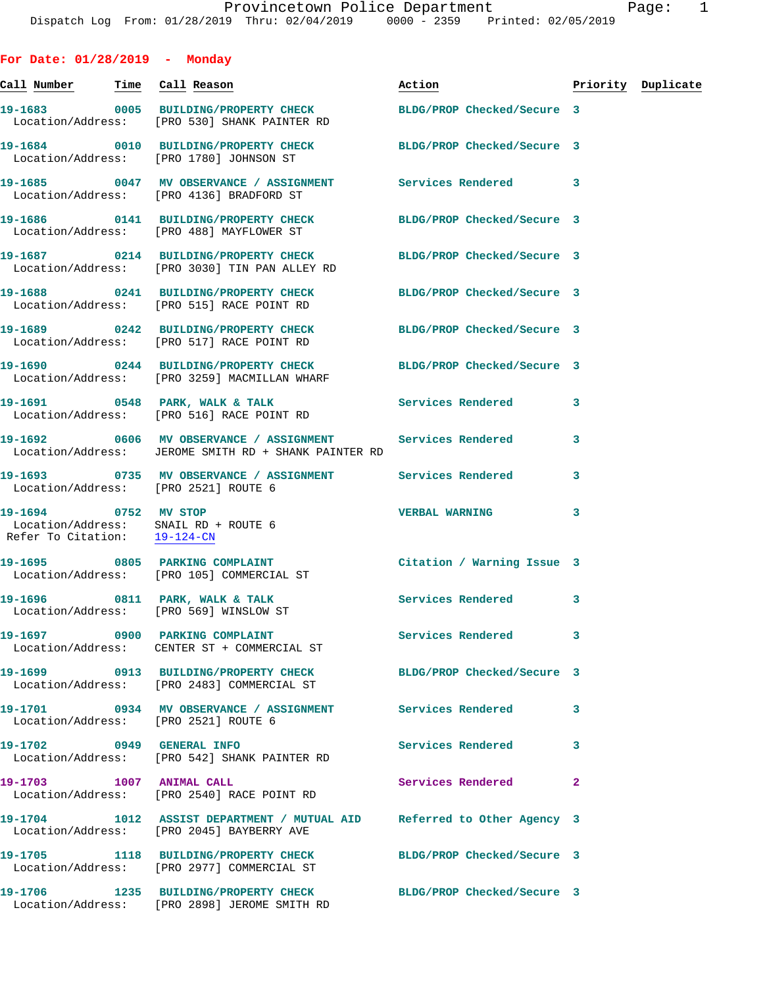**For Date: 01/28/2019 - Monday Call Number Time Call Reason Action Priority Duplicate 19-1683 0005 BUILDING/PROPERTY CHECK BLDG/PROP Checked/Secure 3**  Location/Address: [PRO 530] SHANK PAINTER RD **19-1684 0010 BUILDING/PROPERTY CHECK BLDG/PROP Checked/Secure 3**  Location/Address: [PRO 1780] JOHNSON ST **19-1685 0047 MV OBSERVANCE / ASSIGNMENT Services Rendered 3**  Location/Address: [PRO 4136] BRADFORD ST **19-1686 0141 BUILDING/PROPERTY CHECK BLDG/PROP Checked/Secure 3**  Location/Address: [PRO 488] MAYFLOWER ST **19-1687 0214 BUILDING/PROPERTY CHECK BLDG/PROP Checked/Secure 3**  Location/Address: [PRO 3030] TIN PAN ALLEY RD **19-1688 0241 BUILDING/PROPERTY CHECK BLDG/PROP Checked/Secure 3**  Location/Address: [PRO 515] RACE POINT RD **19-1689 0242 BUILDING/PROPERTY CHECK BLDG/PROP Checked/Secure 3**  Location/Address: [PRO 517] RACE POINT RD **19-1690 0244 BUILDING/PROPERTY CHECK BLDG/PROP Checked/Secure 3**  Location/Address: [PRO 3259] MACMILLAN WHARF **19-1691 0548 PARK, WALK & TALK Services Rendered 3**  Location/Address: [PRO 516] RACE POINT RD **19-1692 0606 MV OBSERVANCE / ASSIGNMENT Services Rendered 3**  Location/Address: JEROME SMITH RD + SHANK PAINTER RD **19-1693 0735 MV OBSERVANCE / ASSIGNMENT Services Rendered 3**  Location/Address: [PRO 2521] ROUTE 6 **19-1694 0752 MV STOP VERBAL WARNING 3**  Location/Address: SNAIL RD + ROUTE 6 Refer To Citation: 19-124-CN **19-1695 0805 PARKING COMPLAINT Citation / Warning Issue 3**  Location/Address: [PRO 105] COMMERCIAL ST **19-1696 0811 PARK, WALK & TALK Services Rendered 3**  Location/Address: [PRO 569] WINSLOW ST **19-1697 0900 PARKING COMPLAINT Services Rendered 3**  Location/Address: CENTER ST + COMMERCIAL ST **19-1699 0913 BUILDING/PROPERTY CHECK BLDG/PROP Checked/Secure 3**  Location/Address: [PRO 2483] COMMERCIAL ST **19-1701 0934 MV OBSERVANCE / ASSIGNMENT Services Rendered 3**  Location/Address: [PRO 2521] ROUTE 6 **19-1702 0949 GENERAL INFO Services Rendered 3**  Location/Address: [PRO 542] SHANK PAINTER RD **19-1703 1007 ANIMAL CALL Services Rendered 2**  Location/Address: [PRO 2540] RACE POINT RD **19-1704 1012 ASSIST DEPARTMENT / MUTUAL AID Referred to Other Agency 3**  Location/Address: [PRO 2045] BAYBERRY AVE **19-1705 1118 BUILDING/PROPERTY CHECK BLDG/PROP Checked/Secure 3**  Location/Address: [PRO 2977] COMMERCIAL ST

**19-1706 1235 BUILDING/PROPERTY CHECK BLDG/PROP Checked/Secure 3** 

Location/Address: [PRO 2898] JEROME SMITH RD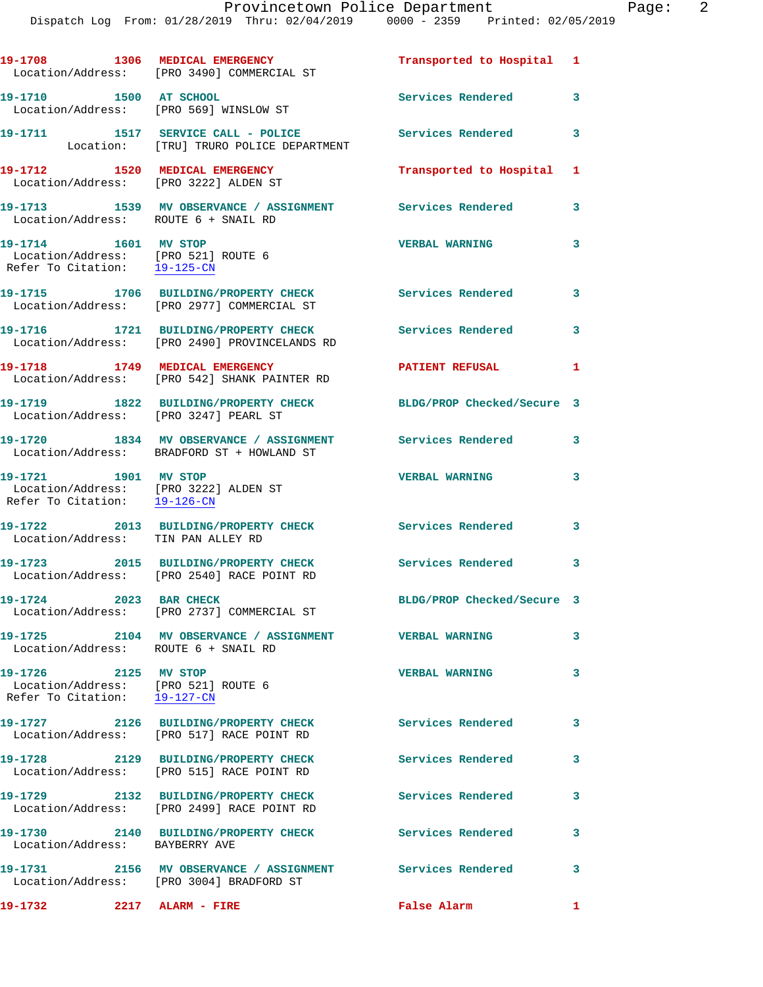|                                                                                                         | 19-1708 1306 MEDICAL EMERGENCY<br>Location/Address: [PRO 3490] COMMERCIAL ST                            | Transported to Hospital 1  |                         |
|---------------------------------------------------------------------------------------------------------|---------------------------------------------------------------------------------------------------------|----------------------------|-------------------------|
| 19-1710 1500 AT SCHOOL<br>Location/Address: [PRO 569] WINSLOW ST                                        |                                                                                                         | Services Rendered          | 3                       |
|                                                                                                         | 19-1711 1517 SERVICE CALL - POLICE<br>Location: [TRU] TRURO POLICE DEPARTMENT                           | <b>Services Rendered</b>   | $\overline{\mathbf{3}}$ |
| 19-1712 1520 MEDICAL EMERGENCY                                                                          | Location/Address: [PRO 3222] ALDEN ST                                                                   | Transported to Hospital 1  |                         |
| Location/Address: ROUTE 6 + SNAIL RD                                                                    | 19-1713 1539 MV OBSERVANCE / ASSIGNMENT Services Rendered                                               |                            | 3                       |
| 19-1714 1601 MV STOP<br>Location/Address: [PRO 521] ROUTE 6<br>Refer To Citation: $\frac{19-125-CM}{2}$ |                                                                                                         | <b>VERBAL WARNING</b>      | 3                       |
|                                                                                                         | 19-1715 1706 BUILDING/PROPERTY CHECK<br>Location/Address: [PRO 2977] COMMERCIAL ST                      | Services Rendered 3        |                         |
|                                                                                                         | 19-1716 1721 BUILDING/PROPERTY CHECK<br>Location/Address: [PRO 2490] PROVINCELANDS RD                   | <b>Services Rendered</b>   | 3                       |
|                                                                                                         | 19-1718 1749 MEDICAL EMERGENCY<br>Location/Address: [PRO 542] SHANK PAINTER RD                          | <b>PATIENT REFUSAL</b>     | 1                       |
| Location/Address: [PRO 3247] PEARL ST                                                                   | 19-1719 1822 BUILDING/PROPERTY CHECK                                                                    | BLDG/PROP Checked/Secure 3 |                         |
|                                                                                                         | 19-1720 1834 MV OBSERVANCE / ASSIGNMENT Services Rendered<br>Location/Address: BRADFORD ST + HOWLAND ST |                            | 3                       |
| 19-1721 1901 MV STOP<br>Refer To Citation: 19-126-CN                                                    | Location/Address: [PRO 3222] ALDEN ST                                                                   | <b>VERBAL WARNING</b>      | 3                       |
| Location/Address: TIN PAN ALLEY RD                                                                      | 19-1722 2013 BUILDING/PROPERTY CHECK Services Rendered 3                                                |                            |                         |
|                                                                                                         | 19-1723 2015 BUILDING/PROPERTY CHECK<br>Location/Address: [PRO 2540] RACE POINT RD                      | <b>Services Rendered</b>   | 3                       |
| 19-1724 2023 BAR CHECK                                                                                  | Location/Address: [PRO 2737] COMMERCIAL ST                                                              | BLDG/PROP Checked/Secure 3 |                         |
| Location/Address: ROUTE 6 + SNAIL RD                                                                    | 19-1725 2104 MV OBSERVANCE / ASSIGNMENT VERBAL WARNING                                                  |                            | 3                       |
| 19-1726 2125 MV STOP<br>Location/Address: [PRO 521] ROUTE 6<br>Refer To Citation: 19-127-CN             |                                                                                                         | <b>VERBAL WARNING</b>      | 3                       |
|                                                                                                         | 19-1727 2126 BUILDING/PROPERTY CHECK<br>Location/Address: [PRO 517] RACE POINT RD                       | <b>Services Rendered</b>   | $\overline{\mathbf{3}}$ |
|                                                                                                         | 19-1728 2129 BUILDING/PROPERTY CHECK<br>Location/Address: [PRO 515] RACE POINT RD                       | Services Rendered          | 3                       |
|                                                                                                         | 19-1729 2132 BUILDING/PROPERTY CHECK<br>Location/Address: [PRO 2499] RACE POINT RD                      | <b>Services Rendered</b>   | 3                       |
| Location/Address: BAYBERRY AVE                                                                          | 19-1730 2140 BUILDING/PROPERTY CHECK                                                                    | Services Rendered          | 3                       |
|                                                                                                         | 19-1731 2156 MV OBSERVANCE / ASSIGNMENT Services Rendered<br>Location/Address: [PRO 3004] BRADFORD ST   |                            | 3                       |
| 19-1732 2217 ALARM - FIRE                                                                               |                                                                                                         | False Alarm 1              |                         |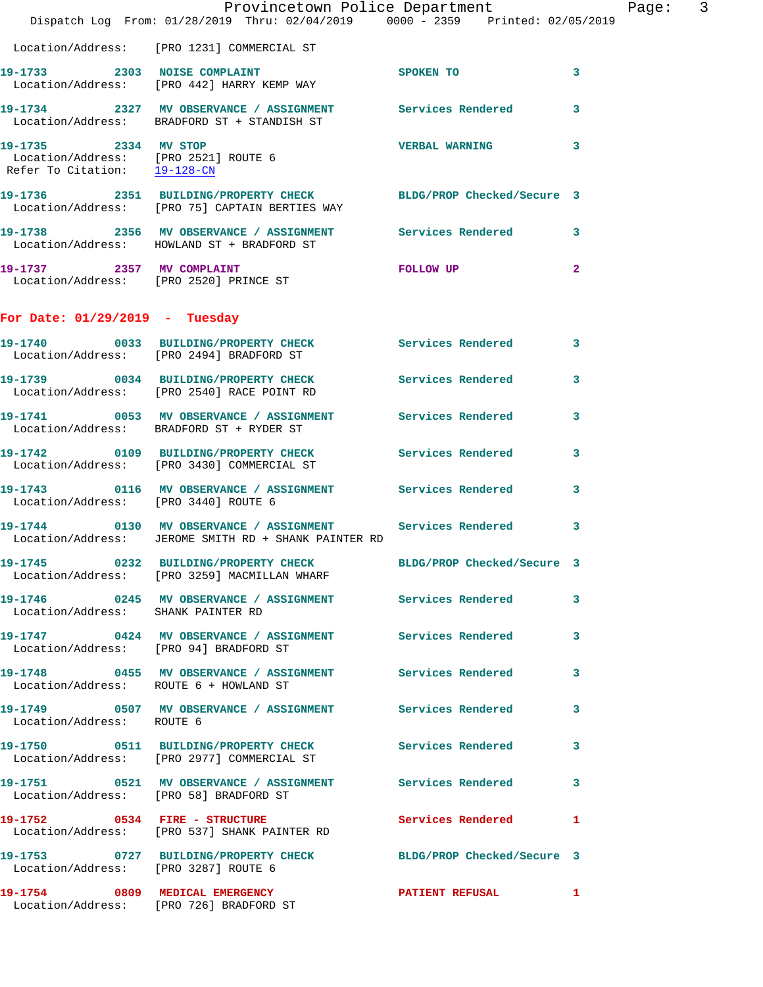|                                        | Provincetown Police Department<br>Dispatch Log From: 01/28/2019 Thru: 02/04/2019 0000 - 2359 Printed: 02/05/2019  |                   | Page: 3      |
|----------------------------------------|-------------------------------------------------------------------------------------------------------------------|-------------------|--------------|
|                                        | Location/Address: [PRO 1231] COMMERCIAL ST                                                                        |                   |              |
|                                        | 19-1733 2303 NOISE COMPLAINT<br>Location/Address: [PRO 442] HARRY KEMP WAY                                        | SPOKEN TO         | 3            |
|                                        | 19-1734 2327 MV OBSERVANCE / ASSIGNMENT Services Rendered 3<br>Location/Address: BRADFORD ST + STANDISH ST        |                   |              |
|                                        | 19-1735 2334 MV STOP<br>Location/Address: [PRO 2521] ROUTE 6<br>Refer To Citation: <u>19-128-CN</u>               | VERBAL WARNING 3  |              |
|                                        | 19-1736 2351 BUILDING/PROPERTY CHECK BLDG/PROP Checked/Secure 3<br>Location/Address: [PRO 75] CAPTAIN BERTIES WAY |                   |              |
|                                        | 19-1738 2356 MV OBSERVANCE / ASSIGNMENT Services Rendered 3<br>Location/Address: HOWLAND ST + BRADFORD ST         |                   |              |
|                                        | 19-1737 2357 MV COMPLAINT<br>Location/Address: [PRO 2520] PRINCE ST                                               | FOLLOW UP         | $\mathbf{2}$ |
| For Date: $01/29/2019$ - Tuesday       |                                                                                                                   |                   |              |
|                                        | 19-1740 0033 BUILDING/PROPERTY CHECK Services Rendered<br>Location/Address: [PRO 2494] BRADFORD ST                |                   | $\mathbf{3}$ |
|                                        | 19-1739 0034 BUILDING/PROPERTY CHECK Services Rendered 3<br>Location/Address: [PRO 2540] RACE POINT RD            |                   |              |
|                                        | 19-1741 0053 MV OBSERVANCE / ASSIGNMENT Services Rendered<br>Location/Address: BRADFORD ST + RYDER ST             |                   | 3            |
|                                        | 19-1742 0109 BUILDING/PROPERTY CHECK Services Rendered<br>Location/Address: [PRO 3430] COMMERCIAL ST              |                   | $\mathbf{3}$ |
|                                        | 19-1743 0116 MV OBSERVANCE / ASSIGNMENT Services Rendered 3<br>Location/Address: [PRO 3440] ROUTE 6               |                   |              |
|                                        | 19-1744 0130 MV OBSERVANCE / ASSIGNMENT Services Rendered<br>Location/Address: JEROME SMITH RD + SHANK PAINTER RD |                   | 3            |
|                                        | 19-1745 0232 BUILDING/PROPERTY CHECK BLDG/PROP Checked/Secure 3<br>Location/Address: [PRO 3259] MACMILLAN WHARF   |                   |              |
| Location/Address: SHANK PAINTER RD     | 19-1746 0245 MV OBSERVANCE / ASSIGNMENT Services Rendered 3                                                       |                   |              |
| Location/Address: [PRO 94] BRADFORD ST | 19-1747 0424 MV OBSERVANCE / ASSIGNMENT Services Rendered                                                         |                   | 3            |
| Location/Address: ROUTE 6 + HOWLAND ST | 19-1748 0455 MV OBSERVANCE / ASSIGNMENT Services Rendered 3                                                       |                   |              |
| Location/Address: ROUTE 6              | 19-1749 0507 MV OBSERVANCE / ASSIGNMENT Services Rendered                                                         |                   | 3            |
|                                        | 19-1750 0511 BUILDING/PROPERTY CHECK Services Rendered 3<br>Location/Address: [PRO 2977] COMMERCIAL ST            |                   |              |
|                                        | 19-1751 0521 MV OBSERVANCE / ASSIGNMENT Services Rendered<br>Location/Address: [PRO 58] BRADFORD ST               |                   | 3            |
|                                        | 19-1752 0534 FIRE - STRUCTURE 19-1752 Services Rendered<br>Location/Address: [PRO 537] SHANK PAINTER RD           |                   | $\mathbf{1}$ |
|                                        | 19-1753 0727 BUILDING/PROPERTY CHECK BLDG/PROP Checked/Secure 3<br>Location/Address: [PRO 3287] ROUTE 6           |                   |              |
|                                        | 19-1754 0809 MEDICAL EMERGENCY<br>Location/Address: [PRO 726] BRADFORD ST                                         | PATIENT REFUSAL 1 |              |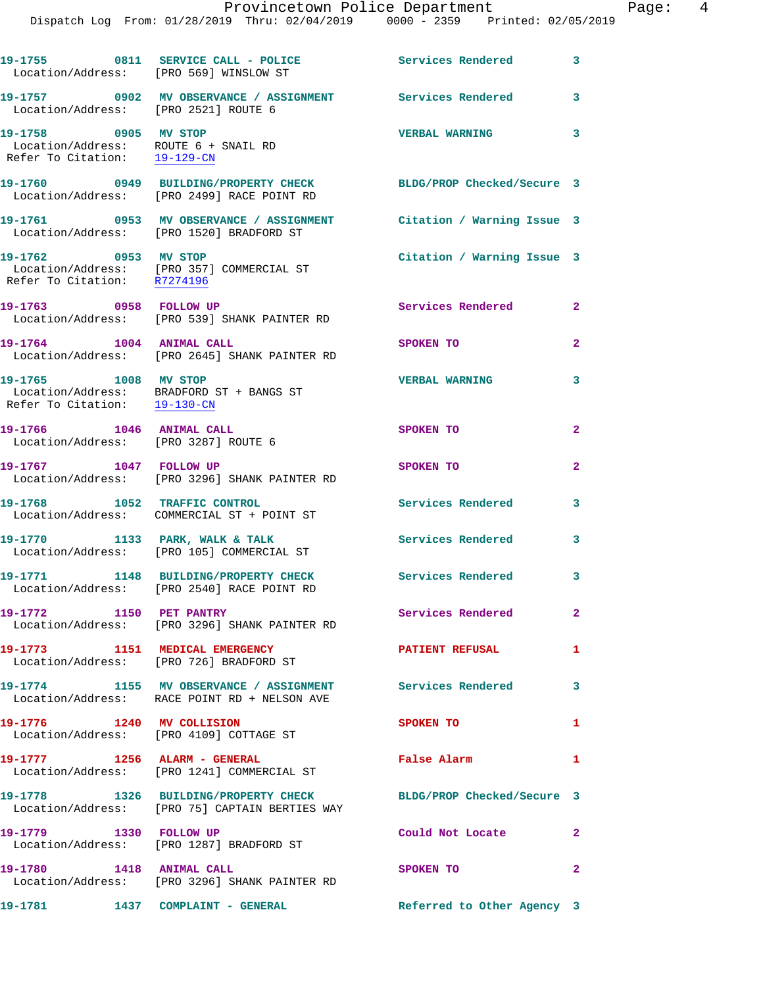|                                                                                              | 19-1755 0811 SERVICE CALL - POLICE 3 Services Rendered 3<br>Location/Address: [PRO 569] WINSLOW ST                |                            |                          |
|----------------------------------------------------------------------------------------------|-------------------------------------------------------------------------------------------------------------------|----------------------------|--------------------------|
|                                                                                              |                                                                                                                   |                            |                          |
| 19-1758 0905 MV STOP<br>Location/Address: ROUTE 6 + SNAIL RD<br>Refer To Citation: 19-129-CN |                                                                                                                   | <b>VERBAL WARNING</b>      | $\overline{\phantom{a}}$ |
|                                                                                              | 19-1760 0949 BUILDING/PROPERTY CHECK BLDG/PROP Checked/Secure 3<br>Location/Address: [PRO 2499] RACE POINT RD     |                            |                          |
|                                                                                              | 19-1761 0953 MV OBSERVANCE / ASSIGNMENT Citation / Warning Issue 3<br>Location/Address: [PRO 1520] BRADFORD ST    |                            |                          |
| 19-1762 0953 MV STOP                                                                         | Location/Address: [PRO 357] COMMERCIAL ST<br>Refer To Citation: R7274196                                          | Citation / Warning Issue 3 |                          |
| 19-1763 0958 FOLLOW UP                                                                       | Location/Address: [PRO 539] SHANK PAINTER RD                                                                      | Services Rendered 2        |                          |
| 19-1764 1004 ANIMAL CALL                                                                     | Location/Address: [PRO 2645] SHANK PAINTER RD                                                                     | SPOKEN TO                  | $\overline{2}$           |
| 19-1765 1008 MV STOP<br>Refer To Citation: 19-130-CN                                         | Location/Address: BRADFORD ST + BANGS ST                                                                          | <b>VERBAL WARNING</b>      | 3                        |
| 19-1766 1046 ANIMAL CALL<br>Location/Address: [PRO 3287] ROUTE 6                             |                                                                                                                   | SPOKEN TO                  | $\mathbf{2}$             |
| 19-1767 1047 FOLLOW UP                                                                       | Location/Address: [PRO 3296] SHANK PAINTER RD                                                                     | SPOKEN TO                  | $\overline{2}$           |
|                                                                                              | 19-1768 1052 TRAFFIC CONTROL<br>Location/Address: COMMERCIAL ST + POINT ST                                        | Services Rendered          | 3                        |
|                                                                                              | 19-1770 1133 PARK, WALK & TALK<br>Location/Address: [PRO 105] COMMERCIAL ST                                       | Services Rendered 3        |                          |
|                                                                                              | 19-1771 1148 BUILDING/PROPERTY CHECK<br>Location/Address: [PRO 2540] RACE POINT RD                                | Services Rendered 3        |                          |
| 19-1772 1150 PET PANTRY                                                                      | Location/Address: [PRO 3296] SHANK PAINTER RD                                                                     | Services Rendered          | $\mathbf{2}$             |
|                                                                                              | 19-1773 1151 MEDICAL EMERGENCY<br>Location/Address: [PRO 726] BRADFORD ST                                         | <b>PATIENT REFUSAL</b>     | 1                        |
|                                                                                              | Location/Address: RACE POINT RD + NELSON AVE                                                                      |                            | 3                        |
| 19-1776 1240 MV COLLISION                                                                    | Location/Address: [PRO 4109] COTTAGE ST                                                                           | SPOKEN TO                  | 1                        |
| 19-1777 1256 ALARM - GENERAL                                                                 | Location/Address: [PRO 1241] COMMERCIAL ST                                                                        | False Alarm                | 1                        |
|                                                                                              | 19-1778 1326 BUILDING/PROPERTY CHECK BLDG/PROP Checked/Secure 3<br>Location/Address: [PRO 75] CAPTAIN BERTIES WAY |                            |                          |
| 19-1779 1330 FOLLOW UP                                                                       | Location/Address: [PRO 1287] BRADFORD ST                                                                          | Could Not Locate 2         |                          |
| 19-1780 1418 ANIMAL CALL                                                                     | Location/Address: [PRO 3296] SHANK PAINTER RD                                                                     | SPOKEN TO                  | $\mathbf{2}$             |
|                                                                                              | 19-1781 1437 COMPLAINT - GENERAL                                                                                  | Referred to Other Agency 3 |                          |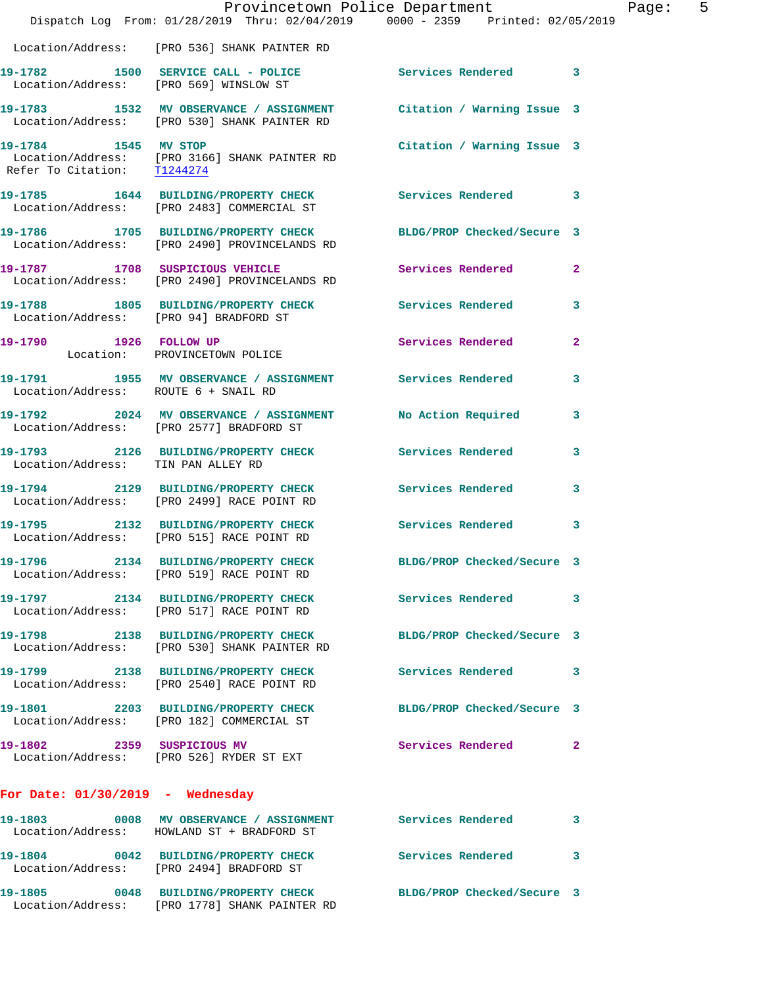|                                        | Dispatch Log From: 01/28/2019 Thru: 02/04/2019 0000 - 2359 Printed: 02/05/2019                                     | Provincetown Police Department | Page: 5 |
|----------------------------------------|--------------------------------------------------------------------------------------------------------------------|--------------------------------|---------|
|                                        | Location/Address: [PRO 536] SHANK PAINTER RD                                                                       |                                |         |
|                                        | 19-1782 1500 SERVICE CALL - POLICE Services Rendered 3<br>Location/Address: [PRO 569] WINSLOW ST                   |                                |         |
|                                        | 19-1783 1532 MV OBSERVANCE / ASSIGNMENT Citation / Warning Issue 3<br>Location/Address: [PRO 530] SHANK PAINTER RD |                                |         |
| 19-1784 1545 MV STOP                   | Location/Address: [PRO 3166] SHANK PAINTER RD<br>Refer To Citation: $\frac{\text{T1244274}}{12.44274}$             | Citation / Warning Issue 3     |         |
|                                        | 19-1785 1644 BUILDING/PROPERTY CHECK Services Rendered 3<br>Location/Address: [PRO 2483] COMMERCIAL ST             |                                |         |
|                                        | 19-1786 1705 BUILDING/PROPERTY CHECK BLDG/PROP Checked/Secure 3<br>Location/Address: [PRO 2490] PROVINCELANDS RD   |                                |         |
|                                        | 19-1787 1708 SUSPICIOUS VEHICLE<br>Location/Address: [PRO 2490] PROVINCELANDS RD                                   | Services Rendered 2            |         |
| Location/Address: [PRO 94] BRADFORD ST | 19-1788 1805 BUILDING/PROPERTY CHECK Services Rendered 3                                                           |                                |         |
|                                        | 19-1790 1926 FOLLOW UP<br>Location: PROVINCETOWN POLICE                                                            | Services Rendered 2            |         |
| Location/Address: ROUTE 6 + SNAIL RD   | 19-1791 1955 MV OBSERVANCE / ASSIGNMENT Services Rendered                                                          |                                | 3       |
|                                        | 19-1792 2024 MV OBSERVANCE / ASSIGNMENT No Action Required 3<br>Location/Address: [PRO 2577] BRADFORD ST           |                                |         |
| Location/Address: TIN PAN ALLEY RD     | 19-1793 2126 BUILDING/PROPERTY CHECK Services Rendered 3                                                           |                                |         |
|                                        | 19-1794 2129 BUILDING/PROPERTY CHECK Services Rendered 3<br>Location/Address: [PRO 2499] RACE POINT RD             |                                |         |
|                                        | 19-1795 2132 BUILDING/PROPERTY CHECK Services Rendered 3<br>Location/Address: [PRO 515] RACE POINT RD              |                                |         |
|                                        | 19-1796 2134 BUILDING/PROPERTY CHECK<br>Location/Address: [PRO 519] RACE POINT RD                                  | BLDG/PROP Checked/Secure 3     |         |
|                                        | 19-1797 2134 BUILDING/PROPERTY CHECK<br>Location/Address: [PRO 517] RACE POINT RD                                  | Services Rendered 3            |         |
|                                        | 19-1798 2138 BUILDING/PROPERTY CHECK<br>Location/Address: [PRO 530] SHANK PAINTER RD                               | BLDG/PROP Checked/Secure 3     |         |
|                                        | 19-1799 2138 BUILDING/PROPERTY CHECK<br>Location/Address: [PRO 2540] RACE POINT RD                                 | Services Rendered              | 3       |
|                                        | 19-1801 2203 BUILDING/PROPERTY CHECK BLDG/PROP Checked/Secure 3<br>Location/Address: [PRO 182] COMMERCIAL ST       |                                |         |
|                                        | 19-1802 2359 SUSPICIOUS MV<br>Location/Address: [PRO 526] RYDER ST EXT                                             | Services Rendered 2            |         |
| For Date: $01/30/2019$ - Wednesday     |                                                                                                                    |                                |         |
|                                        | 19-1803 0008 MV OBSERVANCE / ASSIGNMENT Services Rendered<br>Location/Address: HOWLAND ST + BRADFORD ST            |                                | 3       |
|                                        | 19-1804 0042 BUILDING/PROPERTY CHECK Services Rendered 3<br>Location/Address: [PRO 2494] BRADFORD ST               |                                |         |
|                                        | 19-1805 0048 BUILDING/PROPERTY CHECK BLDG/PROP Checked/Secure 3<br>Location/Address: [PRO 1778] SHANK PAINTER RD   |                                |         |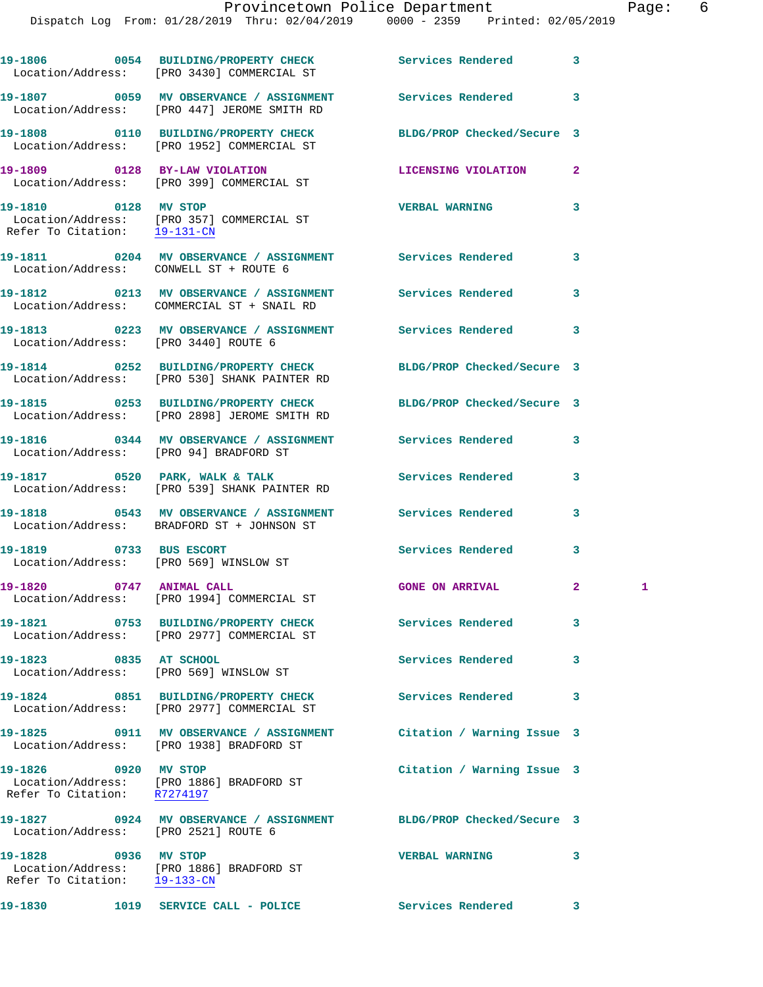Dispatch Log From: 01/28/2019 Thru: 02/04/2019 0000 - 2359 Printed: 02/05/2019

|                                                      | 19-1806 0054 BUILDING/PROPERTY CHECK Services Rendered<br>Location/Address: [PRO 3430] COMMERCIAL ST           |                            | 3            |   |
|------------------------------------------------------|----------------------------------------------------------------------------------------------------------------|----------------------------|--------------|---|
|                                                      | 19-1807 19959 MV OBSERVANCE / ASSIGNMENT Services Rendered<br>Location/Address: [PRO 447] JEROME SMITH RD      |                            | 3            |   |
|                                                      | 19-1808 0110 BUILDING/PROPERTY CHECK BLDG/PROP Checked/Secure 3<br>Location/Address: [PRO 1952] COMMERCIAL ST  |                            |              |   |
|                                                      | 19-1809 0128 BY-LAW VIOLATION<br>Location/Address: [PRO 399] COMMERCIAL ST                                     | LICENSING VIOLATION        | $\mathbf{2}$ |   |
| 19-1810 0128 MV STOP                                 | Location/Address: [PRO 357] COMMERCIAL ST<br>Refer To Citation: 19-131-CN                                      | <b>VERBAL WARNING</b>      | 3            |   |
|                                                      | 19-1811 6204 MV OBSERVANCE / ASSIGNMENT Services Rendered<br>Location/Address: CONWELL ST + ROUTE 6            |                            | 3            |   |
|                                                      | 19-1812 1990 0213 MV OBSERVANCE / ASSIGNMENT Services Rendered<br>Location/Address: COMMERCIAL ST + SNAIL RD   |                            | 3            |   |
|                                                      | 19-1813 6223 MV OBSERVANCE / ASSIGNMENT Services Rendered<br>Location/Address: [PRO 3440] ROUTE 6              |                            | 3            |   |
|                                                      | 19-1814 0252 BUILDING/PROPERTY CHECK<br>Location/Address: [PRO 530] SHANK PAINTER RD                           | BLDG/PROP Checked/Secure 3 |              |   |
|                                                      | 19-1815 0253 BUILDING/PROPERTY CHECK<br>Location/Address: [PRO 2898] JEROME SMITH RD                           | BLDG/PROP Checked/Secure 3 |              |   |
|                                                      | 19-1816  0344 MV OBSERVANCE / ASSIGNMENT Services Rendered<br>Location/Address: [PRO 94] BRADFORD ST           |                            | 3            |   |
|                                                      | 19-1817 0520 PARK, WALK & TALK<br>Location/Address: [PRO 539] SHANK PAINTER RD                                 | <b>Services Rendered</b>   | 3            |   |
|                                                      | Location/Address: BRADFORD ST + JOHNSON ST                                                                     |                            | 3            |   |
| 19-1819 0733 BUS ESCORT                              | Location/Address: [PRO 569] WINSLOW ST                                                                         | Services Rendered          | 3            |   |
| 19-1820 0747 ANIMAL CALL                             | Location/Address: [PRO 1994] COMMERCIAL ST                                                                     | <b>GONE ON ARRIVAL</b>     | $\mathbf{2}$ | 1 |
|                                                      | 19-1821 0753 BUILDING/PROPERTY CHECK<br>Location/Address: [PRO 2977] COMMERCIAL ST                             | Services Rendered          | 3            |   |
|                                                      | 19-1823 0835 AT SCHOOL<br>Location/Address: [PRO 569] WINSLOW ST                                               | Services Rendered          | 3            |   |
|                                                      | 19-1824 0851 BUILDING/PROPERTY CHECK Services Rendered<br>Location/Address: [PRO 2977] COMMERCIAL ST           |                            | 3            |   |
|                                                      | 19-1825 0911 MV OBSERVANCE / ASSIGNMENT Citation / Warning Issue 3<br>Location/Address: [PRO 1938] BRADFORD ST |                            |              |   |
| 19-1826 0920 MV STOP                                 | Location/Address: [PRO 1886] BRADFORD ST<br>Refer To Citation: R7274197                                        | Citation / Warning Issue 3 |              |   |
|                                                      | 19-1827 0924 MV OBSERVANCE / ASSIGNMENT BLDG/PROP Checked/Secure 3<br>Location/Address: [PRO 2521] ROUTE 6     |                            |              |   |
| 19-1828 0936 MV STOP<br>Refer To Citation: 19-133-CN | Location/Address: [PRO 1886] BRADFORD ST                                                                       | <b>VERBAL WARNING</b>      | 3            |   |
|                                                      | 19-1830 1019 SERVICE CALL - POLICE                                                                             | Services Rendered 3        |              |   |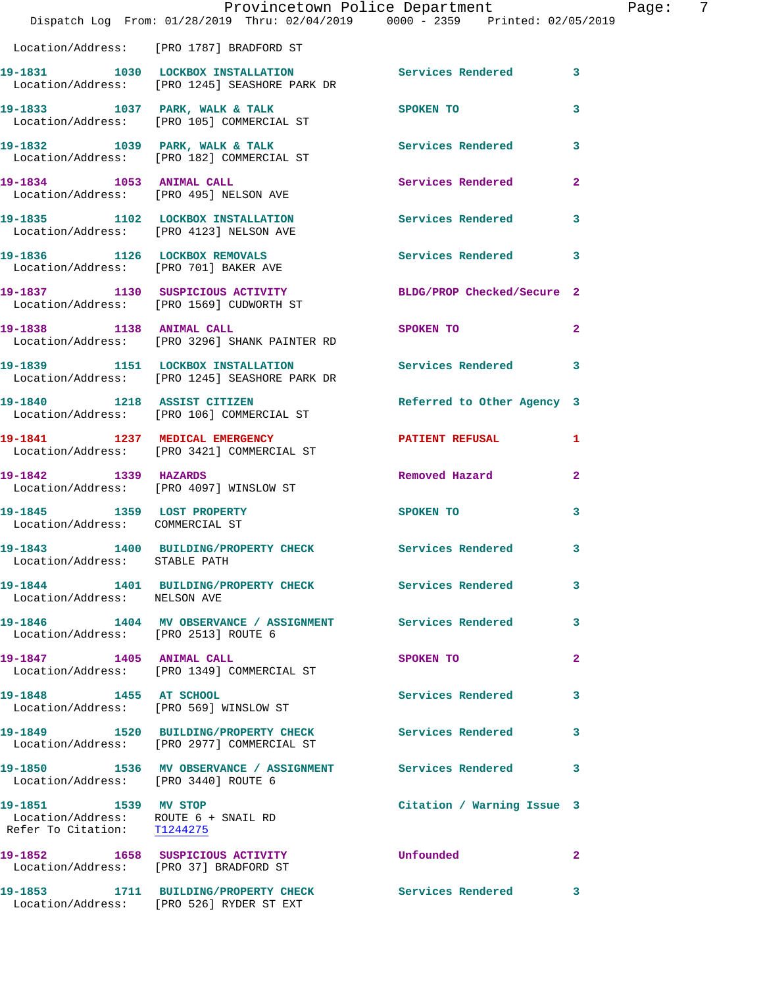|                                                                                             | Provincetown Police Department<br>Dispatch Log From: 01/28/2019 Thru: 02/04/2019 0000 - 2359 Printed: 02/05/2019                  |                            | P              |
|---------------------------------------------------------------------------------------------|-----------------------------------------------------------------------------------------------------------------------------------|----------------------------|----------------|
|                                                                                             | Location/Address: [PRO 1787] BRADFORD ST                                                                                          |                            |                |
|                                                                                             | 19-1831 1030 LOCKBOX INSTALLATION<br>Location/Address: [PRO 1245] SEASHORE PARK DR                                                | Services Rendered          | 3              |
|                                                                                             | 19-1833 1037 PARK, WALK & TALK<br>Location/Address: [PRO 105] COMMERCIAL ST                                                       | SPOKEN TO                  | 3              |
|                                                                                             | 19-1832 1039 PARK, WALK & TALK<br>Location/Address: [PRO 182] COMMERCIAL ST                                                       | <b>Services Rendered</b>   | 3              |
| 19-1834 1053 ANIMAL CALL                                                                    | Location/Address: [PRO 495] NELSON AVE                                                                                            | Services Rendered          | $\mathbf{2}$   |
|                                                                                             | 19-1835 1102 LOCKBOX INSTALLATION<br>Location/Address: [PRO 4123] NELSON AVE                                                      | <b>Services Rendered</b>   | 3              |
| 19-1836 1126 LOCKBOX REMOVALS<br>Location/Address: [PRO 701] BAKER AVE                      |                                                                                                                                   | <b>Services Rendered</b>   | 3              |
|                                                                                             | 19-1837 1130 SUSPICIOUS ACTIVITY<br>Location/Address: [PRO 1569] CUDWORTH ST                                                      | BLDG/PROP Checked/Secure 2 |                |
|                                                                                             | 19-1838 1138 ANIMAL CALL<br>Location/Address: [PRO 3296] SHANK PAINTER RD                                                         | SPOKEN TO                  | $\overline{2}$ |
|                                                                                             | 19-1839 1151 LOCKBOX INSTALLATION<br>Location/Address: [PRO 1245] SEASHORE PARK DR                                                | <b>Services Rendered</b>   | 3              |
|                                                                                             | 19-1840 1218 ASSIST CITIZEN<br>Location/Address: [PRO 106] COMMERCIAL ST                                                          | Referred to Other Agency 3 |                |
|                                                                                             | 19-1841 1237 MEDICAL EMERGENCY<br>Location/Address: [PRO 3421] COMMERCIAL ST                                                      | <b>PATIENT REFUSAL</b>     | 1              |
|                                                                                             | 19-1842 1339 HAZARDS<br>Location/Address: [PRO 4097] WINSLOW ST                                                                   | Removed Hazard             | $\overline{a}$ |
| 19-1845 1359 LOST PROPERTY<br>Location/Address: COMMERCIAL ST                               |                                                                                                                                   | <b>SPOKEN TO</b>           | 3              |
| Location/Address: STABLE PATH                                                               | 19-1843 1400 BUILDING/PROPERTY CHECK Services Rendered                                                                            |                            | 3              |
| Location/Address: NELSON AVE                                                                | 19-1844 1401 BUILDING/PROPERTY CHECK Services Rendered                                                                            |                            | 3              |
| Location/Address: [PRO 2513] ROUTE 6                                                        | 19-1846 1404 MV OBSERVANCE / ASSIGNMENT Services Rendered                                                                         |                            | 3              |
| 19-1847 1405 ANIMAL CALL                                                                    | Location/Address: [PRO 1349] COMMERCIAL ST                                                                                        | SPOKEN TO                  | $\mathbf{2}$   |
| 19-1848 1455 AT SCHOOL                                                                      | Location/Address: [PRO 569] WINSLOW ST                                                                                            | Services Rendered          | 3              |
|                                                                                             | 19-1849 1520 BUILDING/PROPERTY CHECK Services Rendered<br>Location/Address: [PRO 2977] COMMERCIAL ST                              |                            | 3              |
|                                                                                             | 19-1850            1536    MV OBSERVANCE / ASSIGNMENT               Services Rendered<br>Location/Address:     [PRO 3440] ROUTE 6 |                            | 3              |
| 19-1851 1539 MV STOP<br>Location/Address: ROUTE 6 + SNAIL RD<br>Refer To Citation: T1244275 |                                                                                                                                   | Citation / Warning Issue 3 |                |
| Location/Address: [PRO 37] BRADFORD ST                                                      | 19-1852 1658 SUSPICIOUS ACTIVITY                                                                                                  | Unfounded                  | $\mathbf{2}$   |
|                                                                                             | 19-1853 1711 BUILDING/PROPERTY CHECK<br>Location/Address: [PRO 526] RYDER ST EXT                                                  | <b>Services Rendered</b>   | 3              |

Page: 7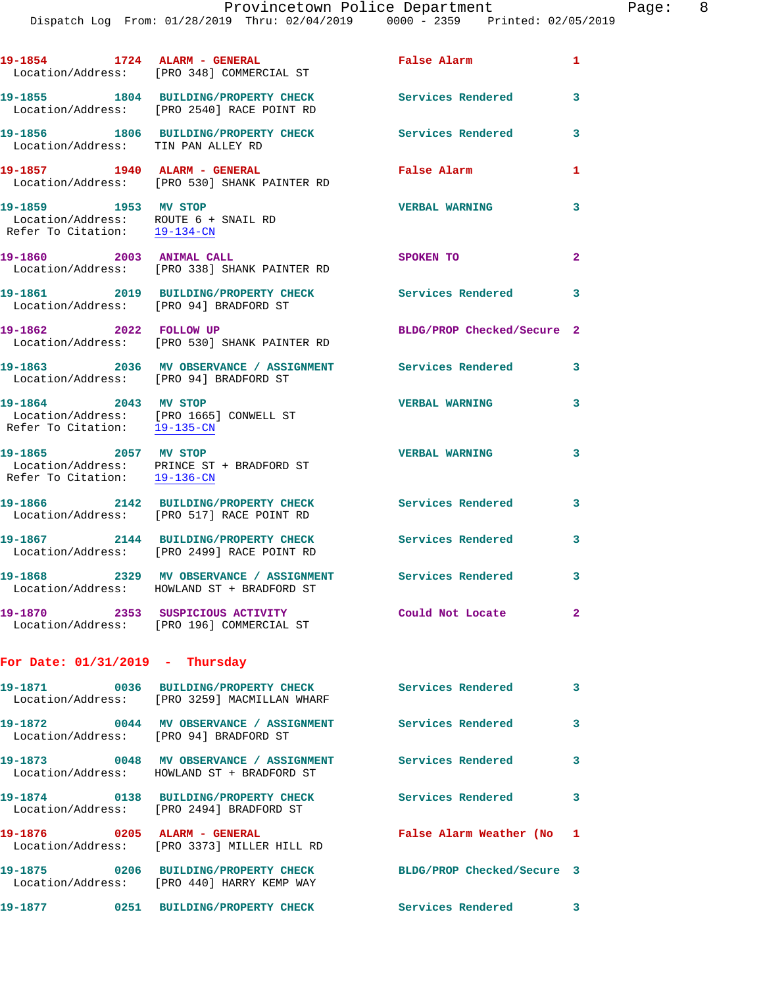|                                                      | 19-1854 1724 ALARM - GENERAL<br>Location/Address: [PRO 348] COMMERCIAL ST                                     | False Alarm                | $\mathbf{1}$               |
|------------------------------------------------------|---------------------------------------------------------------------------------------------------------------|----------------------------|----------------------------|
|                                                      | 19-1855 1804 BUILDING/PROPERTY CHECK<br>Location/Address: [PRO 2540] RACE POINT RD                            | Services Rendered          | 3                          |
|                                                      | 19-1856 1806 BUILDING/PROPERTY CHECK<br>Location/Address: TIN PAN ALLEY RD                                    | <b>Services Rendered</b>   | 3                          |
|                                                      | 19-1857 1940 ALARM - GENERAL<br>Location/Address: [PRO 530] SHANK PAINTER RD                                  | False Alarm                | 1                          |
| 19-1859 1953 MV STOP                                 | Location/Address: ROUTE 6 + SNAIL RD<br>Refer To Citation: $\frac{19-134-CN}{}$                               | <b>VERBAL WARNING</b>      | 3                          |
|                                                      | 19-1860 2003 ANIMAL CALL<br>Location/Address: [PRO 338] SHANK PAINTER RD                                      | SPOKEN TO                  | $\mathbf{2}$               |
|                                                      | 19-1861 2019 BUILDING/PROPERTY CHECK Services Rendered 3<br>Location/Address: [PRO 94] BRADFORD ST            |                            |                            |
|                                                      | 19-1862 2022 FOLLOW UP<br>Location/Address: [PRO 530] SHANK PAINTER RD                                        | BLDG/PROP Checked/Secure 2 |                            |
|                                                      | 19-1863 2036 MV OBSERVANCE / ASSIGNMENT Services Rendered<br>Location/Address: [PRO 94] BRADFORD ST           |                            | 3                          |
| 19-1864 2043 MV STOP<br>Refer To Citation: 19-135-CN | Location/Address: [PRO 1665] CONWELL ST                                                                       | <b>VERBAL WARNING</b>      | 3                          |
|                                                      | 19-1865 2057 MV STOP<br>Location/Address: PRINCE ST + BRADFORD ST<br>Refer To Citation: $\frac{19-136-CN}{2}$ | <b>VERBAL WARNING</b>      | 3                          |
|                                                      | 19-1866 2142 BUILDING/PROPERTY CHECK<br>Location/Address: [PRO 517] RACE POINT RD                             | Services Rendered          | 3                          |
|                                                      | 19-1867 2144 BUILDING/PROPERTY CHECK<br>Location/Address: [PRO 2499] RACE POINT RD                            | <b>Services Rendered</b>   | 3                          |
|                                                      | 19-1868 2329 MV OBSERVANCE / ASSIGNMENT Services Rendered<br>Location/Address: HOWLAND ST + BRADFORD ST       |                            | 3                          |
|                                                      | 19-1870  2353 SUSPICIOUS ACTIVITY<br>Location/Address: [PRO 196] COMMERCIAL ST                                | Could Not Locate           | $\mathbf{2}$               |
| For Date: $01/31/2019$ - Thursday                    |                                                                                                               |                            |                            |
|                                                      | 19-1871 0036 BUILDING/PROPERTY CHECK<br>Location/Address: [PRO 3259] MACMILLAN WHARF                          | <b>Services Rendered</b>   | 3                          |
|                                                      | 19-1872 0044 MV OBSERVANCE / ASSIGNMENT Services Rendered<br>Location/Address: [PRO 94] BRADFORD ST           |                            | 3                          |
|                                                      | 19-1873 0048 MV OBSERVANCE / ASSIGNMENT<br>Location/Address: HOWLAND ST + BRADFORD ST                         | Services Rendered          | 3                          |
|                                                      | 19-1874 0138 BUILDING/PROPERTY CHECK<br>Location/Address: [PRO 2494] BRADFORD ST                              | Services Rendered          | $\overline{\phantom{a}}$ 3 |
|                                                      | 19-1876   0205   ALARM - GENERAL<br>Location/Address: [PRO 3373] MILLER HILL RD                               | False Alarm Weather (No 1  |                            |
| 19-1875                                              | 0206 BUILDING/PROPERTY CHECK BLDG/PROP Checked/Secure 3<br>Location/Address: [PRO 440] HARRY KEMP WAY         |                            |                            |
|                                                      | 19-1877 0251 BUILDING/PROPERTY CHECK                                                                          | <b>Services Rendered</b>   | $\sim$ 3                   |
|                                                      |                                                                                                               |                            |                            |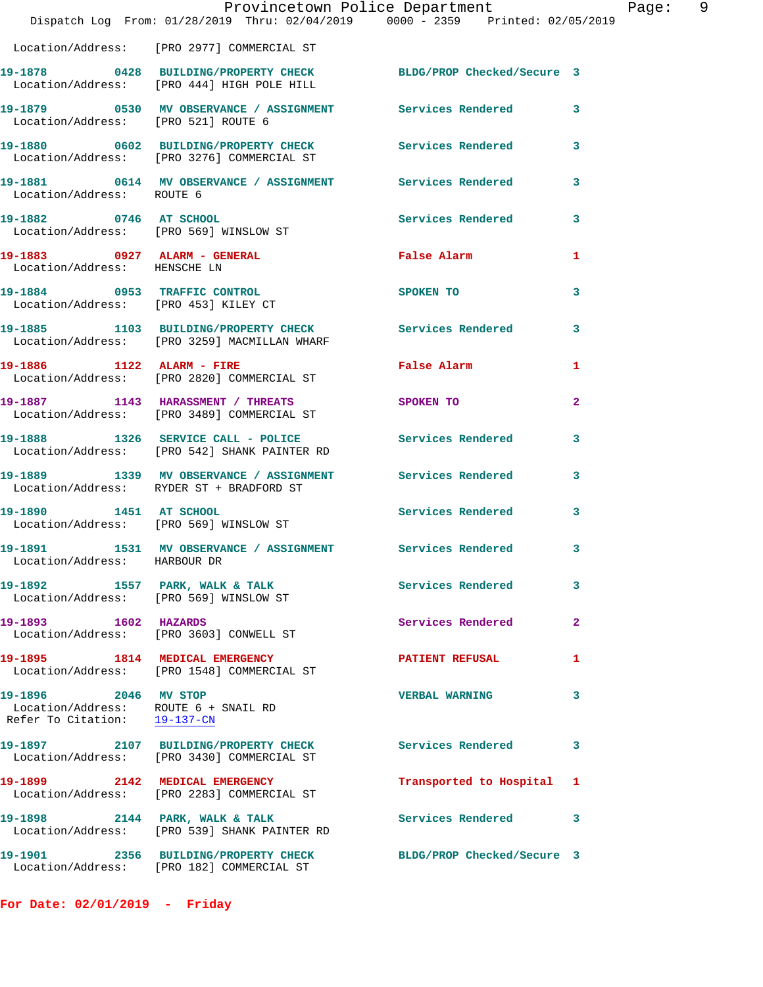|                                                                                              | Provincetown Police Department                                                                                |                            |                |
|----------------------------------------------------------------------------------------------|---------------------------------------------------------------------------------------------------------------|----------------------------|----------------|
|                                                                                              | Dispatch Log From: 01/28/2019 Thru: 02/04/2019 0000 - 2359 Printed: 02/05/2019                                |                            |                |
|                                                                                              | Location/Address: [PRO 2977] COMMERCIAL ST                                                                    |                            |                |
|                                                                                              | 19-1878 0428 BUILDING/PROPERTY CHECK BLDG/PROP Checked/Secure 3<br>Location/Address: [PRO 444] HIGH POLE HILL |                            |                |
| Location/Address: [PRO 521] ROUTE 6                                                          |                                                                                                               |                            | 3              |
|                                                                                              | 19-1880 0602 BUILDING/PROPERTY CHECK Services Rendered<br>Location/Address: [PRO 3276] COMMERCIAL ST          |                            | 3              |
| Location/Address: ROUTE 6                                                                    | 19-1881 6614 MV OBSERVANCE / ASSIGNMENT Services Rendered                                                     |                            | 3              |
| 19-1882 0746 AT SCHOOL                                                                       | Location/Address: [PRO 569] WINSLOW ST                                                                        | Services Rendered          | 3              |
| 19-1883 0927 ALARM - GENERAL<br>Location/Address: HENSCHE LN                                 |                                                                                                               | <b>False Alarm</b>         | 1              |
| 19-1884 0953 TRAFFIC CONTROL<br>Location/Address: [PRO 453] KILEY CT                         |                                                                                                               | SPOKEN TO                  | 3              |
|                                                                                              | 19-1885 1103 BUILDING/PROPERTY CHECK<br>Location/Address: [PRO 3259] MACMILLAN WHARF                          | Services Rendered          | 3              |
|                                                                                              | 19-1886    1122    ALARM - FIRE<br>Location/Address: [PRO 2820] COMMERCIAL ST                                 | False Alarm                | 1              |
|                                                                                              | 19-1887 1143 HARASSMENT / THREATS<br>Location/Address: [PRO 3489] COMMERCIAL ST                               | <b>SPOKEN TO</b>           | $\overline{a}$ |
|                                                                                              | 19-1888 1326 SERVICE CALL - POLICE<br>Location/Address: [PRO 542] SHANK PAINTER RD                            | Services Rendered          | 3              |
|                                                                                              | 19-1889 1339 MV OBSERVANCE / ASSIGNMENT<br>Location/Address: RYDER ST + BRADFORD ST                           | Services Rendered          | 3              |
| 19-1890 1451 AT SCHOOL                                                                       | Location/Address: [PRO 569] WINSLOW ST                                                                        | <b>Services Rendered</b>   | 3              |
| 19–1891<br>Location/Address: HARBOUR DR                                                      | 1531 MV OBSERVANCE / ASSIGNMENT Services Rendered                                                             |                            | 3              |
| Location/Address: [PRO 569] WINSLOW ST                                                       | 19-1892 1557 PARK, WALK & TALK                                                                                | <b>Services Rendered</b>   | 3              |
| 19-1893    1602    HAZARDS                                                                   | Location/Address: [PRO 3603] CONWELL ST                                                                       | Services Rendered          | 2              |
|                                                                                              | 19-1895 1814 MEDICAL EMERGENCY<br>Location/Address: [PRO 1548] COMMERCIAL ST                                  | <b>PATIENT REFUSAL</b>     | 1              |
| 19-1896 2046 MV STOP<br>Location/Address: ROUTE 6 + SNAIL RD<br>Refer To Citation: 19-137-CN |                                                                                                               | <b>VERBAL WARNING</b>      | 3              |
|                                                                                              | 19-1897 2107 BUILDING/PROPERTY CHECK<br>Location/Address: [PRO 3430] COMMERCIAL ST                            | Services Rendered          | 3              |
| 19-1899 2142 MEDICAL EMERGENCY                                                               | Location/Address: [PRO 2283] COMMERCIAL ST                                                                    | Transported to Hospital    | 1              |
|                                                                                              | 19-1898 2144 PARK, WALK & TALK<br>Location/Address: [PRO 539] SHANK PAINTER RD                                | <b>Services Rendered</b>   | 3              |
|                                                                                              | 19-1901 2356 BUILDING/PROPERTY CHECK<br>Location/Address: [PRO 182] COMMERCIAL ST                             | BLDG/PROP Checked/Secure 3 |                |

**For Date: 02/01/2019 - Friday**

Page: 9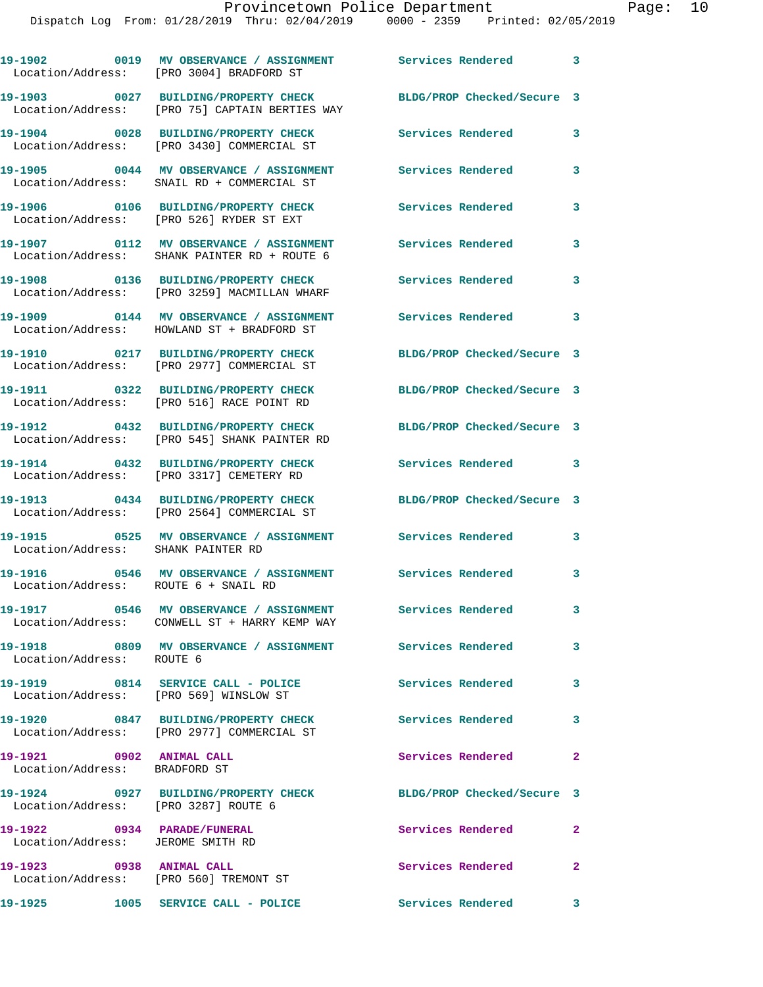|                                                                    | 19-1902 0019 MV OBSERVANCE / ASSIGNMENT Services Rendered 3<br>Location/Address: [PRO 3004] BRADFORD ST    |                                      |                            |
|--------------------------------------------------------------------|------------------------------------------------------------------------------------------------------------|--------------------------------------|----------------------------|
|                                                                    | 19-1903 0027 BUILDING/PROPERTY CHECK<br>Location/Address: [PRO 75] CAPTAIN BERTIES WAY                     | BLDG/PROP Checked/Secure 3           |                            |
|                                                                    | 19-1904 0028 BUILDING/PROPERTY CHECK<br>Location/Address: [PRO 3430] COMMERCIAL ST                         | Services Rendered                    | $\mathbf{3}$               |
|                                                                    | 19-1905 0044 MV OBSERVANCE / ASSIGNMENT<br>Location/Address: SNAIL RD + COMMERCIAL ST                      | <b>Services Rendered</b>             | 3                          |
|                                                                    | 19-1906 0106 BUILDING/PROPERTY CHECK<br>Location/Address: [PRO 526] RYDER ST EXT                           | Services Rendered                    | 3                          |
|                                                                    | 19-1907 0112 MV OBSERVANCE / ASSIGNMENT<br>Location/Address: SHANK PAINTER RD + ROUTE 6                    | <b>Services Rendered</b>             | 3                          |
|                                                                    | 19-1908 0136 BUILDING/PROPERTY CHECK<br>Location/Address: [PRO 3259] MACMILLAN WHARF                       | Services Rendered                    | 3                          |
|                                                                    | 19-1909 0144 MV OBSERVANCE / ASSIGNMENT<br>Location/Address: HOWLAND ST + BRADFORD ST                      | Services Rendered 3                  |                            |
|                                                                    | 19-1910 0217 BUILDING/PROPERTY CHECK<br>Location/Address: [PRO 2977] COMMERCIAL ST                         | BLDG/PROP Checked/Secure 3           |                            |
|                                                                    | 19-1911 0322 BUILDING/PROPERTY CHECK<br>Location/Address: [PRO 516] RACE POINT RD                          | BLDG/PROP Checked/Secure 3           |                            |
|                                                                    | 19-1912 0432 BUILDING/PROPERTY CHECK<br>Location/Address: [PRO 545] SHANK PAINTER RD                       | BLDG/PROP Checked/Secure 3           |                            |
|                                                                    | 19-1914 0432 BUILDING/PROPERTY CHECK<br>Location/Address: [PRO 3317] CEMETERY RD                           | Services Rendered 3                  |                            |
|                                                                    | 19-1913 0434 BUILDING/PROPERTY CHECK<br>Location/Address: [PRO 2564] COMMERCIAL ST                         | BLDG/PROP Checked/Secure 3           |                            |
| Location/Address: SHANK PAINTER RD                                 | 19-1915 6525 MV OBSERVANCE / ASSIGNMENT Services Rendered 3                                                |                                      |                            |
| Location/Address: ROUTE 6 + SNAIL RD                               |                                                                                                            |                                      | $\overline{\phantom{a}}$ 3 |
|                                                                    | 19-1917 6546 MV OBSERVANCE / ASSIGNMENT Services Rendered<br>Location/Address: CONWELL ST + HARRY KEMP WAY |                                      | 3                          |
| Location/Address: ROUTE 6                                          | 19-1918 6809 MV OBSERVANCE / ASSIGNMENT Services Rendered                                                  |                                      | 3                          |
| Location/Address: [PRO 569] WINSLOW ST                             | 19-1919 0814 SERVICE CALL - POLICE                                                                         | <b>Services Rendered</b>             | $\overline{\mathbf{3}}$    |
|                                                                    | 19-1920 0847 BUILDING/PROPERTY CHECK<br>Location/Address: [PRO 2977] COMMERCIAL ST                         | <b>Services Rendered</b>             | 3                          |
| 19-1921 0902 ANIMAL CALL<br>Location/Address: BRADFORD ST          |                                                                                                            | Services Rendered 2                  |                            |
| Location/Address: [PRO 3287] ROUTE 6                               | 19-1924 0927 BUILDING/PROPERTY CHECK                                                                       | BLDG/PROP Checked/Secure 3           |                            |
| 19-1922 0934 PARADE/FUNERAL<br>Location/Address: JEROME SMITH RD   |                                                                                                            | Services Rendered                    | $\mathbf{2}$               |
| 19-1923 0938 ANIMAL CALL<br>Location/Address: [PRO 560] TREMONT ST |                                                                                                            | Services Rendered                    | $\mathbf{2}$               |
| 19-1925                                                            | 1005 SERVICE CALL - POLICE                                                                                 | <b>Services Rendered</b><br>$\sim$ 3 |                            |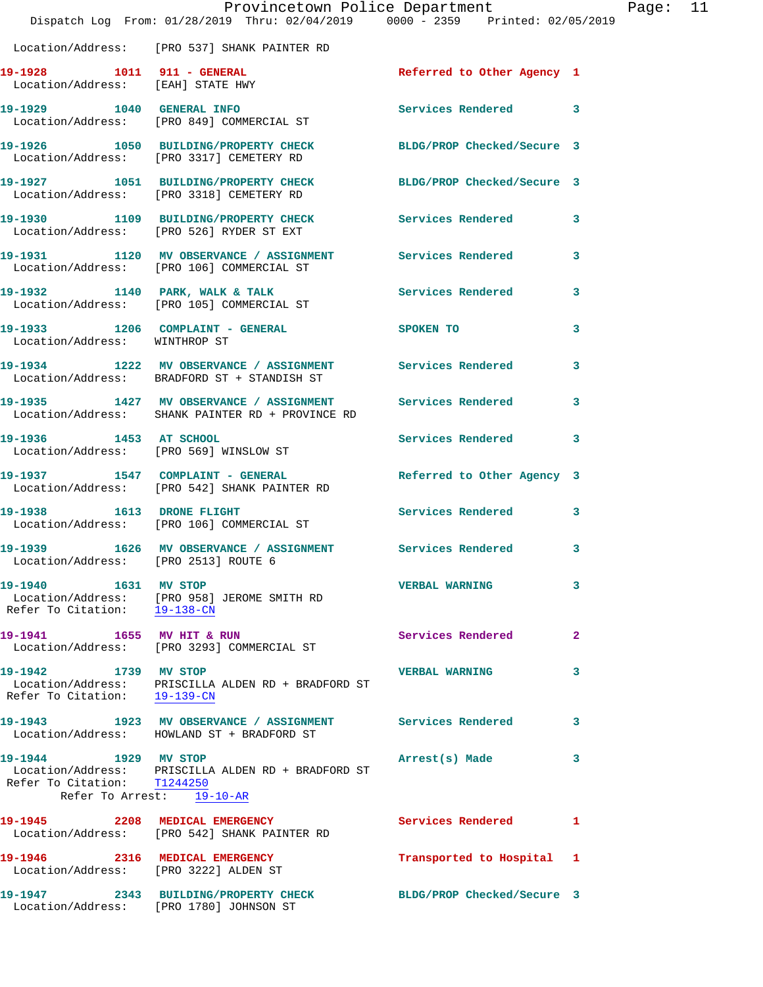|                                                                 | Provincetown Police Department                                                                                |                            |              |
|-----------------------------------------------------------------|---------------------------------------------------------------------------------------------------------------|----------------------------|--------------|
|                                                                 | Dispatch Log From: 01/28/2019 Thru: 02/04/2019 0000 - 2359 Printed: 02/05/2019                                |                            |              |
|                                                                 | Location/Address: [PRO 537] SHANK PAINTER RD                                                                  |                            |              |
| 19-1928 1011 911 - GENERAL<br>Location/Address: [EAH] STATE HWY |                                                                                                               | Referred to Other Agency 1 |              |
|                                                                 | 19-1929 1040 GENERAL INFO<br>Location/Address: [PRO 849] COMMERCIAL ST                                        | <b>Services Rendered</b>   | 3            |
|                                                                 | 19-1926 1050 BUILDING/PROPERTY CHECK<br>Location/Address: [PRO 3317] CEMETERY RD                              | BLDG/PROP Checked/Secure 3 |              |
|                                                                 | 19-1927 1051 BUILDING/PROPERTY CHECK<br>Location/Address: [PRO 3318] CEMETERY RD                              | BLDG/PROP Checked/Secure 3 |              |
|                                                                 | 19-1930 1109 BUILDING/PROPERTY CHECK Services Rendered<br>Location/Address: [PRO 526] RYDER ST EXT            |                            | 3            |
|                                                                 | 19-1931 1120 MV OBSERVANCE / ASSIGNMENT Services Rendered<br>Location/Address: [PRO 106] COMMERCIAL ST        |                            | 3            |
|                                                                 | 19-1932 1140 PARK, WALK & TALK<br>Location/Address: [PRO 105] COMMERCIAL ST                                   | <b>Services Rendered</b>   | 3            |
| Location/Address: WINTHROP ST                                   | 19-1933 1206 COMPLAINT - GENERAL                                                                              | SPOKEN TO                  | 3            |
|                                                                 | 19-1934 1222 MV OBSERVANCE / ASSIGNMENT Services Rendered<br>Location/Address: BRADFORD ST + STANDISH ST      |                            | 3            |
|                                                                 | 19-1935 1427 MV OBSERVANCE / ASSIGNMENT Services Rendered<br>Location/Address: SHANK PAINTER RD + PROVINCE RD |                            | 3            |
| 19-1936 1453 AT SCHOOL                                          | Location/Address: [PRO 569] WINSLOW ST                                                                        | Services Rendered          | 3            |
|                                                                 | 19-1937 1547 COMPLAINT - GENERAL Referred to Other Agency 3<br>Location/Address: [PRO 542] SHANK PAINTER RD   |                            |              |
| 19-1938 1613 DRONE FLIGHT                                       | Location/Address: [PRO 106] COMMERCIAL ST                                                                     | <b>Services Rendered</b>   | 3            |
| Location/Address: [PRO 2513] ROUTE 6                            | 19-1939 1626 MV OBSERVANCE / ASSIGNMENT Services Rendered                                                     |                            | 3            |
| 19-1940 1631 MV STOP                                            | Location/Address: [PRO 958] JEROME SMITH RD<br>Refer To Citation: 19-138-CN                                   | <b>VERBAL WARNING</b>      | 3            |
| 19-1941 1655 MV HIT & RUN                                       | Location/Address: [PRO 3293] COMMERCIAL ST                                                                    | <b>Services Rendered</b>   | $\mathbf{2}$ |
| 19-1942 1739 MV STOP<br>Refer To Citation: 19-139-CN            | Location/Address: PRISCILLA ALDEN RD + BRADFORD ST                                                            | <b>VERBAL WARNING</b>      | 3            |
|                                                                 | 19-1943 1923 MV OBSERVANCE / ASSIGNMENT Services Rendered<br>Location/Address: HOWLAND ST + BRADFORD ST       |                            | 3            |
| 19-1944 1929 MV STOP                                            | Location/Address: PRISCILLA ALDEN RD + BRADFORD ST<br>Refer To Citation: T1244250                             | Arrest(s) Made             | 3            |
| Refer To Arrest: 19-10-AR                                       |                                                                                                               |                            |              |
|                                                                 | 19-1945 2208 MEDICAL EMERGENCY<br>Location/Address: [PRO 542] SHANK PAINTER RD                                | <b>Services Rendered</b>   | 1            |
| 19-1946 2316 MEDICAL EMERGENCY                                  | Location/Address: [PRO 3222] ALDEN ST                                                                         | Transported to Hospital    | 1            |
| Location/Address: [PRO 1780] JOHNSON ST                         | 19-1947 2343 BUILDING/PROPERTY CHECK                                                                          | BLDG/PROP Checked/Secure 3 |              |

Page:  $11$ <br>
<sup>19</sup>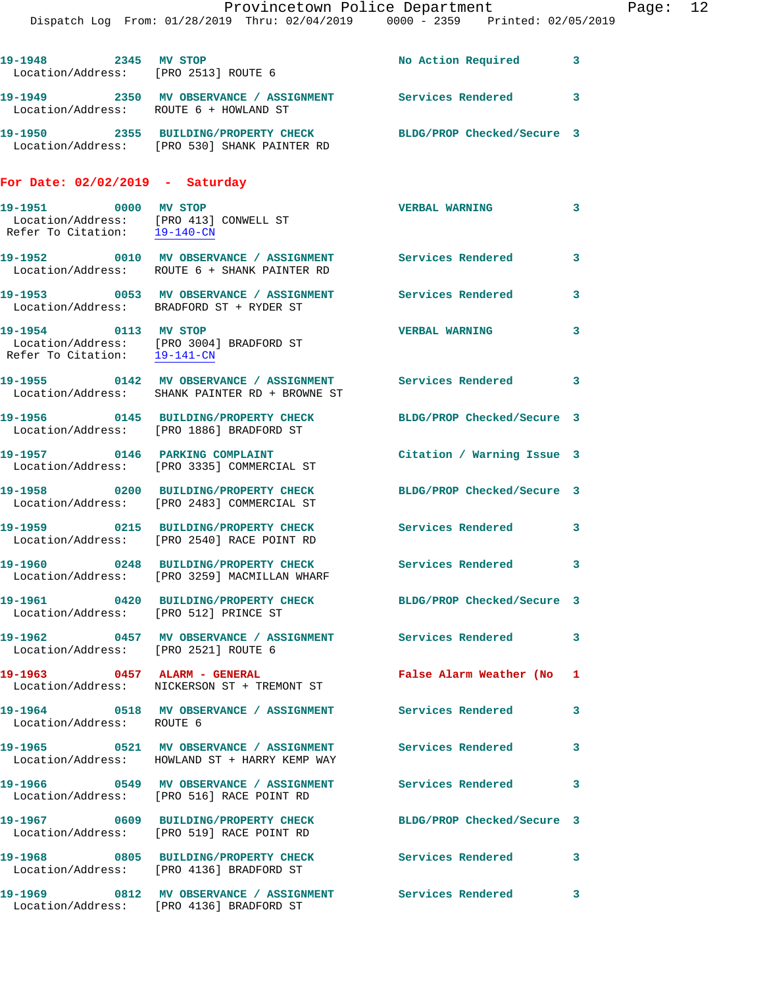|                                                              |                                                                                                                         | Provincetown Police Department |              | Page: 12 |  |
|--------------------------------------------------------------|-------------------------------------------------------------------------------------------------------------------------|--------------------------------|--------------|----------|--|
|                                                              | Dispatch Log From: 01/28/2019 Thru: 02/04/2019 0000 - 2359 Printed: 02/05/2019                                          |                                |              |          |  |
| 19-1948 2345 MV STOP<br>Location/Address: [PRO 2513] ROUTE 6 |                                                                                                                         | No Action Required 3           |              |          |  |
| Location/Address: ROUTE 6 + HOWLAND ST                       | 19-1949 2350 MV OBSERVANCE / ASSIGNMENT Services Rendered                                                               |                                | 3            |          |  |
|                                                              | 19-1950 2355 BUILDING/PROPERTY CHECK BLDG/PROP Checked/Secure 3<br>Location/Address: [PRO 530] SHANK PAINTER RD         |                                |              |          |  |
| For Date: $02/02/2019$ - Saturday                            |                                                                                                                         |                                |              |          |  |
| 19-1951 0000 MV STOP<br>Refer To Citation: 19-140-CN         | Location/Address: [PRO 413] CONWELL ST                                                                                  | <b>VERBAL WARNING</b>          | $\mathbf{3}$ |          |  |
|                                                              | 19-1952 0010 MV OBSERVANCE / ASSIGNMENT Services Rendered<br>Location/Address: ROUTE 6 + SHANK PAINTER RD               |                                | 3            |          |  |
|                                                              | 19-1953 0053 MV OBSERVANCE / ASSIGNMENT Services Rendered<br>Location/Address: BRADFORD ST + RYDER ST                   |                                | $\mathbf{3}$ |          |  |
| Refer To Citation: 19-141-CN                                 | 19-1954      0113   MV STOP<br>Location/Address:   [PRO 3004] BRADFORD ST                                               | <b>VERBAL WARNING</b>          | 3            |          |  |
|                                                              | 19-1955 0142 MV OBSERVANCE / ASSIGNMENT Services Rendered<br>Location/Address: SHANK PAINTER RD + BROWNE ST             |                                | 3            |          |  |
|                                                              | 19-1956 0145 BUILDING/PROPERTY CHECK BLDG/PROP Checked/Secure 3<br>Location/Address: [PRO 1886] BRADFORD ST             |                                |              |          |  |
|                                                              | 19-1957 0146 PARKING COMPLAINT<br>Location/Address: [PRO 3335] COMMERCIAL ST                                            | Citation / Warning Issue 3     |              |          |  |
|                                                              | 19-1958 0200 BUILDING/PROPERTY CHECK BLDG/PROP Checked/Secure 3<br>Location/Address: [PRO 2483] COMMERCIAL ST           |                                |              |          |  |
|                                                              | 19-1959 		 0215 BUILDING/PROPERTY CHECK Services Rendered<br>Location/Address: [PRO 2540] RACE POINT RD                 |                                | $\mathbf{3}$ |          |  |
|                                                              | 19-1960 0248 BUILDING/PROPERTY CHECK<br>Location/Address: [PRO 3259] MACMILLAN WHARF                                    | Services Rendered 3            |              |          |  |
| Location/Address: [PRO 512] PRINCE ST                        | 19-1961 0420 BUILDING/PROPERTY CHECK BLDG/PROP Checked/Secure 3                                                         |                                |              |          |  |
|                                                              | 19-1962      0457   MV OBSERVANCE / ASSIGNMENT       Services Rendered       3<br>Location/Address:   [PRO 2521]ROUTE 6 |                                |              |          |  |
|                                                              | 19-1963 0457 ALARM - GENERAL<br>Location/Address: NICKERSON ST + TREMONT ST                                             | False Alarm Weather (No 1      |              |          |  |
| Location/Address: ROUTE 6                                    | 19-1964  O518 MV OBSERVANCE / ASSIGNMENT Services Rendered                                                              |                                | 3            |          |  |
|                                                              | Location/Address: HOWLAND ST + HARRY KEMP WAY                                                                           |                                | 3            |          |  |
|                                                              | 19-1966  OS49 MV OBSERVANCE / ASSIGNMENT Services Rendered<br>Location/Address: [PRO 516] RACE POINT RD                 |                                | 3            |          |  |
|                                                              | 19-1967 0609 BUILDING/PROPERTY CHECK BLDG/PROP Checked/Secure 3<br>Location/Address: [PRO 519] RACE POINT RD            |                                |              |          |  |
|                                                              | 19-1968 6805 BUILDING/PROPERTY CHECK Services Rendered 3<br>Location/Address: [PRO 4136] BRADFORD ST                    |                                |              |          |  |
|                                                              | 19-1969 0812 MV OBSERVANCE / ASSIGNMENT Services Rendered<br>Location/Address: [PRO 4136] BRADFORD ST                   |                                | 3            |          |  |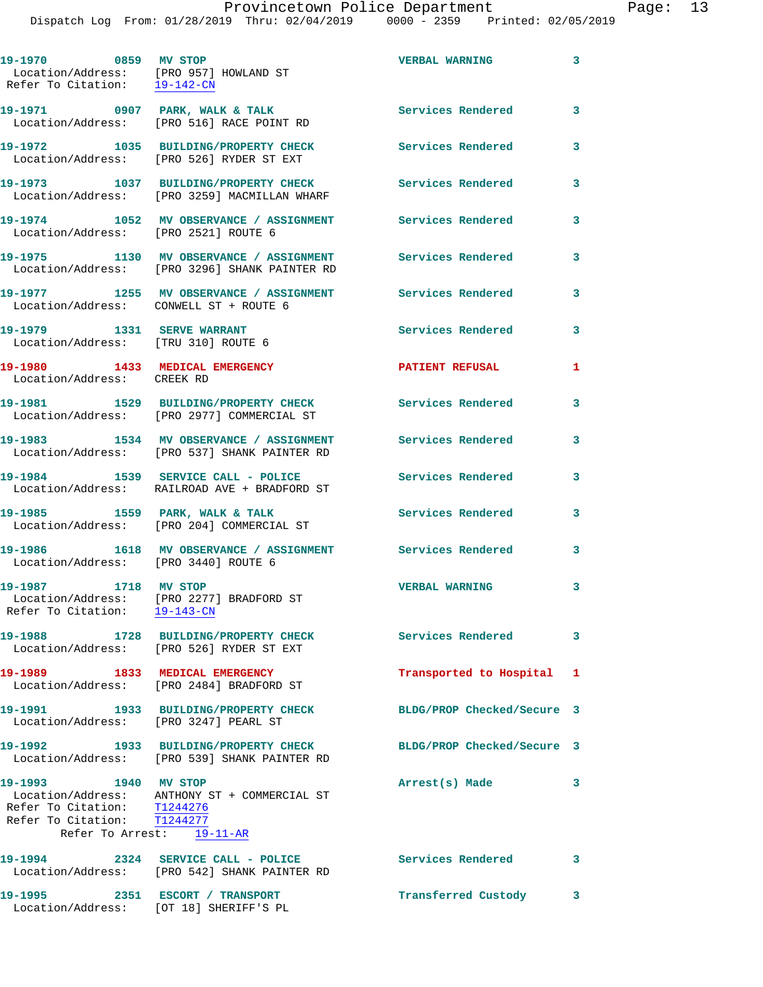| 19-1970 0859 MV STOP<br>Location/Address: [PRO 957] HOWLAND ST<br>Refer To Citation: 19-142-CN |                                                                                                            | <b>VERBAL WARNING</b>      | $\overline{\mathbf{3}}$    |
|------------------------------------------------------------------------------------------------|------------------------------------------------------------------------------------------------------------|----------------------------|----------------------------|
|                                                                                                | 19-1971 0907 PARK, WALK & TALK<br>Location/Address: [PRO 516] RACE POINT RD                                | Services Rendered 3        |                            |
|                                                                                                | 19-1972 1035 BUILDING/PROPERTY CHECK<br>Location/Address: [PRO 526] RYDER ST EXT                           | Services Rendered          | 3                          |
|                                                                                                | 19-1973 1037 BUILDING/PROPERTY CHECK Services Rendered<br>Location/Address: [PRO 3259] MACMILLAN WHARF     |                            | 3                          |
| Location/Address: [PRO 2521] ROUTE 6                                                           | 19-1974 1052 MV OBSERVANCE / ASSIGNMENT Services Rendered                                                  |                            | 3                          |
|                                                                                                | 19-1975 1130 MV OBSERVANCE / ASSIGNMENT Services Rendered<br>Location/Address: [PRO 3296] SHANK PAINTER RD |                            | 3                          |
| Location/Address: CONWELL ST + ROUTE 6                                                         | 19-1977 1255 MV OBSERVANCE / ASSIGNMENT Services Rendered                                                  |                            | 3                          |
| 19-1979 1331 SERVE WARRANT<br>Location/Address: [TRU 310] ROUTE 6                              |                                                                                                            | <b>Services Rendered</b>   | 3                          |
| 19-1980 1433 MEDICAL EMERGENCY<br>Location/Address: CREEK RD                                   |                                                                                                            | <b>PATIENT REFUSAL</b>     | 1                          |
|                                                                                                | 19-1981 1529 BUILDING/PROPERTY CHECK<br>Location/Address: [PRO 2977] COMMERCIAL ST                         | Services Rendered          | 3                          |
|                                                                                                | 19-1983 1534 MV OBSERVANCE / ASSIGNMENT<br>Location/Address: [PRO 537] SHANK PAINTER RD                    | <b>Services Rendered</b>   | 3                          |
|                                                                                                | 19-1984 1539 SERVICE CALL - POLICE<br>Location/Address: RAILROAD AVE + BRADFORD ST                         | <b>Services Rendered</b>   | 3                          |
|                                                                                                | 19-1985 1559 PARK, WALK & TALK<br>Location/Address: [PRO 204] COMMERCIAL ST                                | <b>Services Rendered</b>   | 3                          |
| Location/Address: [PRO 3440] ROUTE 6                                                           | 19-1986 1618 MV OBSERVANCE / ASSIGNMENT Services Rendered                                                  |                            | 3                          |
| 1718 MV STOP<br>19-1987                                                                        | Location/Address: [PRO 2277] BRADFORD ST<br>Refer To Citation: 19-143-CN                                   | <b>VERBAL WARNING</b>      | 3                          |
|                                                                                                | 19-1988 1728 BUILDING/PROPERTY CHECK<br>Location/Address: [PRO 526] RYDER ST EXT                           | <b>Services Rendered</b>   | $\overline{\phantom{a}}$ 3 |
| 19–1989                                                                                        | 1833 MEDICAL EMERGENCY<br>Location/Address: [PRO 2484] BRADFORD ST                                         | Transported to Hospital 1  |                            |
| Location/Address: [PRO 3247] PEARL ST                                                          | 19-1991 1933 BUILDING/PROPERTY CHECK                                                                       | BLDG/PROP Checked/Secure 3 |                            |
| 19-1992                                                                                        | 1933 BUILDING/PROPERTY CHECK<br>Location/Address: [PRO 539] SHANK PAINTER RD                               | BLDG/PROP Checked/Secure 3 |                            |
| 19-1993 1940 MV STOP<br>Refer To Citation: T1244277<br>Refer To Arrest: 19-11-AR               | Location/Address: ANTHONY ST + COMMERCIAL ST<br>Refer To Citation: T1244276                                | Arrest(s) Made             | 3                          |
|                                                                                                | 19-1994 2324 SERVICE CALL - POLICE<br>Location/Address: [PRO 542] SHANK PAINTER RD                         | <b>Services Rendered</b>   | 3                          |
| 19-1995                                                                                        | 2351 ESCORT / TRANSPORT<br>Location/Address: [OT 18] SHERIFF'S PL                                          | Transferred Custody 3      |                            |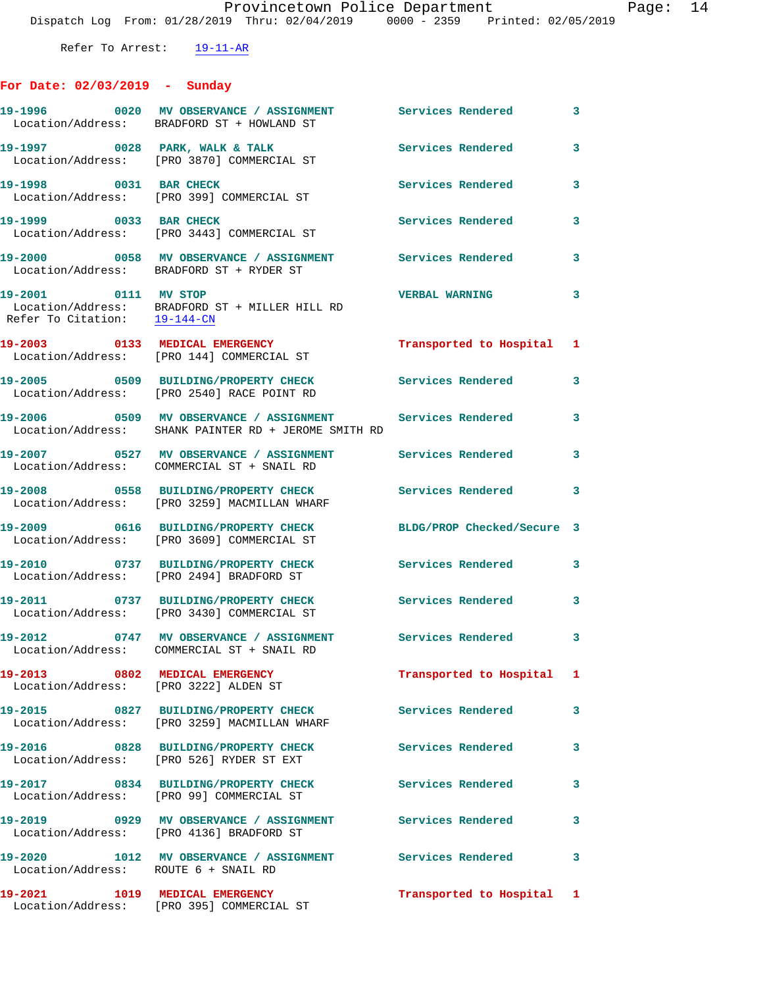Refer To Arrest: 19-11-AR

## **For Date: 02/03/2019 - Sunday**

|                                                                         | 19-1996 0020 MV OBSERVANCE / ASSIGNMENT<br>Location/Address: BRADFORD ST + HOWLAND ST                 | Services Rendered          | 3                       |
|-------------------------------------------------------------------------|-------------------------------------------------------------------------------------------------------|----------------------------|-------------------------|
| 19-1997 0028 PARK, WALK & TALK                                          | Location/Address: [PRO 3870] COMMERCIAL ST                                                            | Services Rendered          | 3                       |
| 19-1998 0031 BAR CHECK                                                  | Location/Address: [PRO 399] COMMERCIAL ST                                                             | Services Rendered          | 3                       |
| 19-1999 0033 BAR CHECK                                                  | Location/Address: [PRO 3443] COMMERCIAL ST                                                            | Services Rendered          | 3                       |
|                                                                         | Location/Address: BRADFORD ST + RYDER ST                                                              |                            | 3                       |
| 19-2001 0111 MV STOP                                                    | Location/Address: BRADFORD ST + MILLER HILL RD<br>Refer To Citation: 19-144-CN                        | <b>VERBAL WARNING</b>      | 3                       |
|                                                                         | 19-2003 0133 MEDICAL EMERGENCY<br>Location/Address: [PRO 144] COMMERCIAL ST                           | Transported to Hospital 1  |                         |
|                                                                         | 19-2005 0509 BUILDING/PROPERTY CHECK<br>Location/Address: [PRO 2540] RACE POINT RD                    | <b>Services Rendered</b>   | 3                       |
|                                                                         | 19-2006 0509 MV OBSERVANCE / ASSIGNMENT<br>Location/Address: SHANK PAINTER RD + JEROME SMITH RD       | <b>Services Rendered</b>   | 3                       |
|                                                                         | Location/Address: COMMERCIAL ST + SNAIL RD                                                            |                            | 3                       |
|                                                                         | 19-2008 0558 BUILDING/PROPERTY CHECK<br>Location/Address: [PRO 3259] MACMILLAN WHARF                  | Services Rendered 3        |                         |
| Location/Address:                                                       | 19-2009 0616 BUILDING/PROPERTY CHECK<br>[PRO 3609] COMMERCIAL ST                                      | BLDG/PROP Checked/Secure 3 |                         |
|                                                                         | 19-2010 0737 BUILDING/PROPERTY CHECK<br>Location/Address: [PRO 2494] BRADFORD ST                      | <b>Services Rendered</b>   | 3                       |
|                                                                         | 19-2011 0737 BUILDING/PROPERTY CHECK<br>Location/Address: [PRO 3430] COMMERCIAL ST                    | <b>Services Rendered</b>   | 3                       |
|                                                                         | 19-2012 0747 MV OBSERVANCE / ASSIGNMENT<br>Location/Address: COMMERCIAL ST + SNAIL RD                 | Services Rendered          | $\overline{\mathbf{3}}$ |
| 19-2013 0802 MEDICAL EMERGENCY<br>Location/Address: [PRO 3222] ALDEN ST |                                                                                                       | Transported to Hospital 1  |                         |
|                                                                         | 19-2015 0827 BUILDING/PROPERTY CHECK<br>Location/Address: [PRO 3259] MACMILLAN WHARF                  | Services Rendered          | 3                       |
|                                                                         | 19-2016 0828 BUILDING/PROPERTY CHECK<br>Location/Address: [PRO 526] RYDER ST EXT                      | Services Rendered          | 3                       |
|                                                                         | 19-2017 0834 BUILDING/PROPERTY CHECK<br>Location/Address: [PRO 99] COMMERCIAL ST                      | <b>Services Rendered</b>   | 3                       |
|                                                                         | 19-2019 0929 MV OBSERVANCE / ASSIGNMENT Services Rendered<br>Location/Address: [PRO 4136] BRADFORD ST |                            | 3                       |
| Location/Address: ROUTE 6 + SNAIL RD                                    | 19-2020 1012 MV OBSERVANCE / ASSIGNMENT Services Rendered                                             |                            | 3                       |
|                                                                         | 19-2021 1019 MEDICAL EMERGENCY<br>Location/Address: [PRO 395] COMMERCIAL ST                           | Transported to Hospital 1  |                         |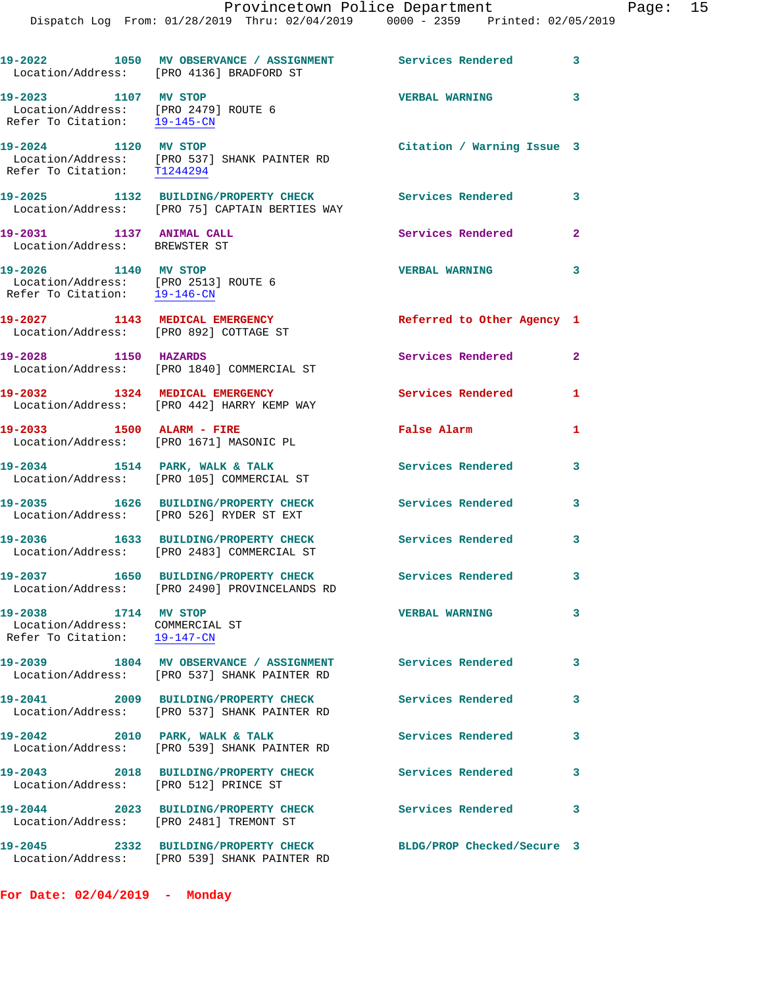|                                                                                              | 19-2022 1050 MV OBSERVANCE / ASSIGNMENT Services Rendered<br>Location/Address: [PRO 4136] BRADFORD ST    |                            | 3 |
|----------------------------------------------------------------------------------------------|----------------------------------------------------------------------------------------------------------|----------------------------|---|
| 19-2023 1107 MV STOP<br>Location/Address: [PRO 2479] ROUTE 6<br>Refer To Citation: 19-145-CN |                                                                                                          | <b>VERBAL WARNING</b>      | 3 |
| 19-2024 1120 MV STOP<br>Refer To Citation: T1244294                                          | Location/Address: [PRO 537] SHANK PAINTER RD                                                             | Citation / Warning Issue 3 |   |
|                                                                                              | 19-2025 1132 BUILDING/PROPERTY CHECK Services Rendered<br>Location/Address: [PRO 75] CAPTAIN BERTIES WAY |                            | 3 |
| 19-2031 1137 ANIMAL CALL<br>Location/Address: BREWSTER ST                                    |                                                                                                          | Services Rendered          | 2 |
| 19-2026 1140 MV STOP<br>Location/Address: [PRO 2513] ROUTE 6<br>Refer To Citation: 19-146-CN |                                                                                                          | <b>VERBAL WARNING</b>      | 3 |
| 19-2027 1143 MEDICAL EMERGENCY<br>Location/Address: [PRO 892] COTTAGE ST                     |                                                                                                          | Referred to Other Agency 1 |   |
| 19-2028 1150 HAZARDS                                                                         | Location/Address: [PRO 1840] COMMERCIAL ST                                                               | Services Rendered          | 2 |
|                                                                                              | 19-2032 1324 MEDICAL EMERGENCY<br>Location/Address: [PRO 442] HARRY KEMP WAY                             | Services Rendered          | 1 |
| 19-2033 1500 ALARM - FIRE                                                                    | Location/Address: [PRO 1671] MASONIC PL                                                                  | False Alarm                | 1 |
|                                                                                              | 19-2034 1514 PARK, WALK & TALK<br>Location/Address: [PRO 105] COMMERCIAL ST                              | <b>Services Rendered</b>   | 3 |
|                                                                                              | 19-2035 1626 BUILDING/PROPERTY CHECK<br>Location/Address: [PRO 526] RYDER ST EXT                         | <b>Services Rendered</b>   | 3 |
|                                                                                              | 19-2036 1633 BUILDING/PROPERTY CHECK<br>Location/Address: [PRO 2483] COMMERCIAL ST                       | Services Rendered          | 3 |
|                                                                                              | 19-2037 1650 BUILDING/PROPERTY CHECK<br>Location/Address: [PRO 2490] PROVINCELANDS RD                    | <b>Services Rendered</b>   | 3 |
| 19-2038 1714 MV STOP<br>Location/Address: COMMERCIAL ST<br>Refer To Citation: 19-147-CN      |                                                                                                          | <b>VERBAL WARNING</b>      | 3 |
|                                                                                              | Location/Address: [PRO 537] SHANK PAINTER RD                                                             | Services Rendered          | 3 |
| 19-2041                                                                                      | 2009 BUILDING/PROPERTY CHECK<br>Location/Address: [PRO 537] SHANK PAINTER RD                             | Services Rendered          | 3 |
| 19-2042 2010 PARK, WALK & TALK                                                               | Location/Address: [PRO 539] SHANK PAINTER RD                                                             | Services Rendered          | 3 |
| Location/Address: [PRO 512] PRINCE ST                                                        | 19-2043  2018 BUILDING/PROPERTY CHECK                                                                    | Services Rendered          | 3 |
| Location/Address: [PRO 2481] TREMONT ST                                                      | 19-2044 2023 BUILDING/PROPERTY CHECK                                                                     | Services Rendered          | 3 |
| 19-2045                                                                                      | 2332 BUILDING/PROPERTY CHECK<br>Location/Address: [PRO 539] SHANK PAINTER RD                             | BLDG/PROP Checked/Secure 3 |   |

**For Date: 02/04/2019 - Monday**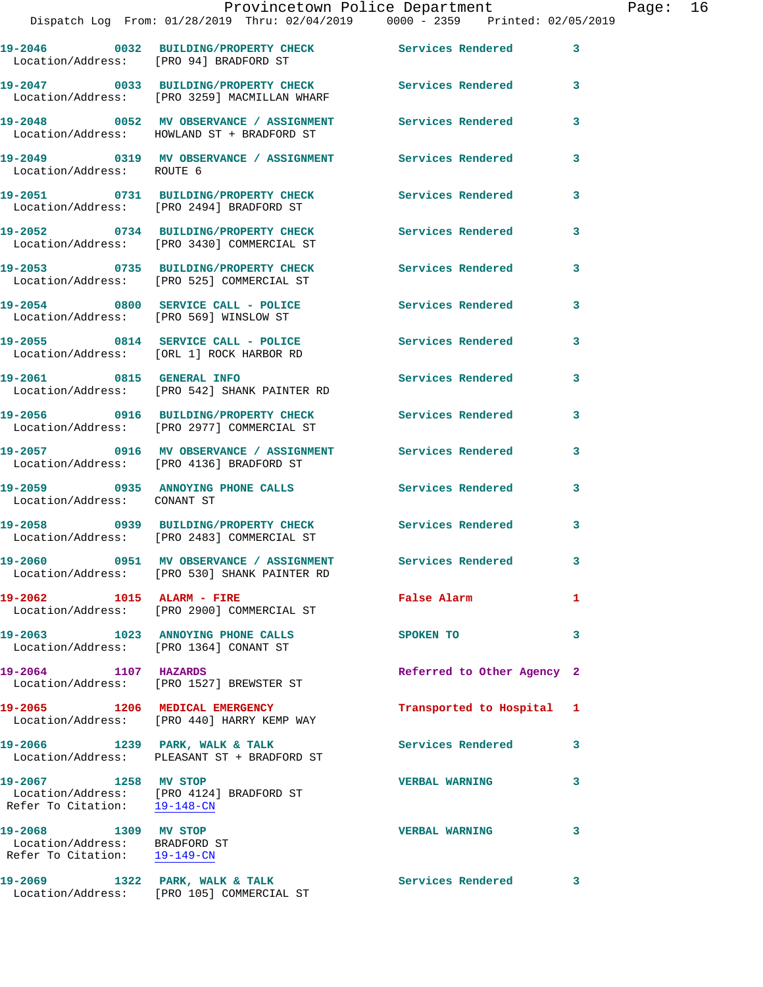| Location/Address: [PRO 94] BRADFORD ST                                                | 19-2046 0032 BUILDING/PROPERTY CHECK                                                                      | <b>Services Rendered</b>   | $\mathbf{3}$            |
|---------------------------------------------------------------------------------------|-----------------------------------------------------------------------------------------------------------|----------------------------|-------------------------|
|                                                                                       | 19-2047 0033 BUILDING/PROPERTY CHECK<br>Location/Address: [PRO 3259] MACMILLAN WHARF                      | Services Rendered          | 3                       |
|                                                                                       | 19-2048 0052 MV OBSERVANCE / ASSIGNMENT<br>Location/Address: HOWLAND ST + BRADFORD ST                     | <b>Services Rendered</b>   | 3                       |
| Location/Address: ROUTE 6                                                             |                                                                                                           |                            | 3                       |
|                                                                                       | 19-2051 0731 BUILDING/PROPERTY CHECK<br>Location/Address: [PRO 2494] BRADFORD ST                          | Services Rendered          | 3                       |
|                                                                                       | 19-2052 0734 BUILDING/PROPERTY CHECK<br>Location/Address: [PRO 3430] COMMERCIAL ST                        | Services Rendered          | 3                       |
|                                                                                       | 19-2053 0735 BUILDING/PROPERTY CHECK<br>Location/Address: [PRO 525] COMMERCIAL ST                         | <b>Services Rendered</b>   | 3                       |
| Location/Address: [PRO 569] WINSLOW ST                                                | 19-2054 0800 SERVICE CALL - POLICE                                                                        | Services Rendered          | 3                       |
|                                                                                       | 19-2055 0814 SERVICE CALL - POLICE<br>Location/Address: [ORL 1] ROCK HARBOR RD                            | Services Rendered          | 3                       |
| 19-2061 0815 GENERAL INFO                                                             | Location/Address: [PRO 542] SHANK PAINTER RD                                                              | Services Rendered          | 3                       |
|                                                                                       | 19-2056 0916 BUILDING/PROPERTY CHECK<br>Location/Address: [PRO 2977] COMMERCIAL ST                        | Services Rendered          | 3                       |
|                                                                                       | 19-2057 0916 MV OBSERVANCE / ASSIGNMENT<br>Location/Address: [PRO 4136] BRADFORD ST                       | <b>Services Rendered</b>   | 3                       |
| Location/Address: CONANT ST                                                           | 19-2059 0935 ANNOYING PHONE CALLS                                                                         | <b>Services Rendered</b>   | 3                       |
|                                                                                       | 19-2058 0939 BUILDING/PROPERTY CHECK<br>Location/Address: [PRO 2483] COMMERCIAL ST                        | Services Rendered          | 3                       |
|                                                                                       | 19-2060 0951 MV OBSERVANCE / ASSIGNMENT Services Rendered<br>Location/Address: [PRO 530] SHANK PAINTER RD |                            | $\overline{\mathbf{3}}$ |
| 19-2062 1015 ALARM - FIRE                                                             | Location/Address: [PRO 2900] COMMERCIAL ST                                                                | False Alarm                | $\mathbf{1}$            |
| 19-2063 1023 ANNOYING PHONE CALLS<br>Location/Address: [PRO 1364] CONANT ST           |                                                                                                           | <b>SPOKEN TO</b>           | 3                       |
| 19-2064 1107 HAZARDS                                                                  | Location/Address: [PRO 1527] BREWSTER ST                                                                  | Referred to Other Agency 2 |                         |
|                                                                                       | 19-2065 1206 MEDICAL EMERGENCY<br>Location/Address: [PRO 440] HARRY KEMP WAY                              | Transported to Hospital 1  |                         |
| 19-2066 1239 PARK, WALK & TALK                                                        | Location/Address: PLEASANT ST + BRADFORD ST                                                               | <b>Services Rendered</b>   | 3                       |
| 19-2067 1258 MV STOP<br>Refer To Citation: 19-148-CN                                  | Location/Address: [PRO 4124] BRADFORD ST                                                                  | <b>VERBAL WARNING</b>      | 3                       |
| 19-2068 1309 MV STOP<br>Location/Address: BRADFORD ST<br>Refer To Citation: 19-149-CM |                                                                                                           | <b>VERBAL WARNING</b>      | 3                       |
|                                                                                       | 19-2069 1322 PARK, WALK & TALK<br>Location/Address: [PRO 105] COMMERCIAL ST                               | Services Rendered 3        |                         |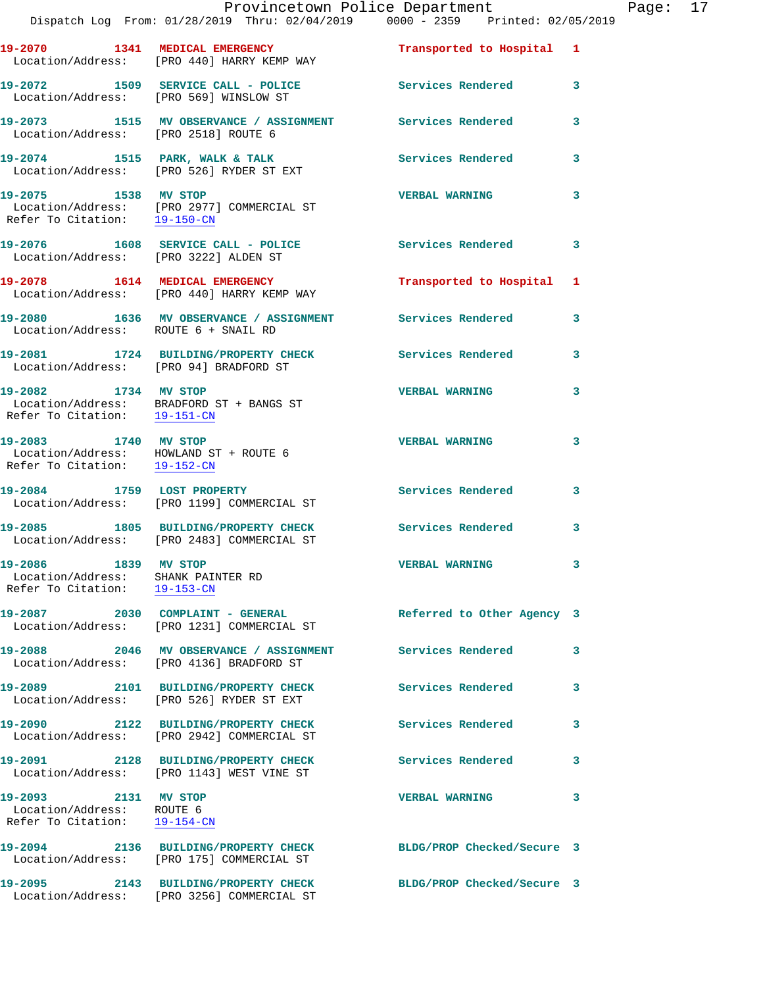|                                                                                                            | Provincetown Police Department<br>Dispatch Log From: 01/28/2019 Thru: 02/04/2019 0000 - 2359 Printed: 02/05/2019 |                            |   |
|------------------------------------------------------------------------------------------------------------|------------------------------------------------------------------------------------------------------------------|----------------------------|---|
|                                                                                                            | 19-2070 1341 MEDICAL EMERGENCY<br>Location/Address: [PRO 440] HARRY KEMP WAY                                     | Transported to Hospital 1  |   |
|                                                                                                            | 19-2072 1509 SERVICE CALL - POLICE<br>Location/Address: [PRO 569] WINSLOW ST                                     | Services Rendered          | 3 |
| Location/Address: [PRO 2518] ROUTE 6                                                                       | 19-2073 1515 MV OBSERVANCE / ASSIGNMENT Services Rendered                                                        |                            | 3 |
|                                                                                                            | 19-2074 1515 PARK, WALK & TALK<br>Location/Address: [PRO 526] RYDER ST EXT                                       | <b>Services Rendered</b>   | 3 |
|                                                                                                            | 19-2075 1538 MV STOP<br>Location/Address: [PRO 2977] COMMERCIAL ST<br>Refer To Citation: 19-150-CN               | <b>VERBAL WARNING</b>      | 3 |
| Location/Address: [PRO 3222] ALDEN ST                                                                      | 19-2076 1608 SERVICE CALL - POLICE                                                                               | Services Rendered          | 3 |
|                                                                                                            | 19-2078 1614 MEDICAL EMERGENCY<br>Location/Address: [PRO 440] HARRY KEMP WAY                                     | Transported to Hospital    | 1 |
| Location/Address: ROUTE 6 + SNAIL RD                                                                       | 19-2080 1636 MV OBSERVANCE / ASSIGNMENT Services Rendered                                                        |                            | 3 |
| Location/Address: [PRO 94] BRADFORD ST                                                                     | 19-2081 1724 BUILDING/PROPERTY CHECK                                                                             | Services Rendered          | 3 |
| 19-2082 1734 MV STOP<br>Refer To Citation: 19-151-CN                                                       | Location/Address: BRADFORD ST + BANGS ST                                                                         | <b>VERBAL WARNING</b>      | 3 |
| 19-2083 1740 MV STOP<br>Location/Address: HOWLAND ST + ROUTE 6<br>Refer To Citation: $\frac{19-152-CN}{ }$ |                                                                                                                  | <b>VERBAL WARNING</b>      | 3 |
|                                                                                                            | 19-2084 1759 LOST PROPERTY<br>Location/Address: [PRO 1199] COMMERCIAL ST                                         | <b>Services Rendered</b>   | 3 |
|                                                                                                            | 19-2085 1805 BUILDING/PROPERTY CHECK<br>Location/Address: [PRO 2483] COMMERCIAL ST                               | Services Rendered          | 3 |
| 19-2086 1839 MV STOP<br>Location/Address: SHANK PAINTER RD<br>Refer To Citation: 19-153-CN                 |                                                                                                                  | <b>VERBAL WARNING</b>      | 3 |
|                                                                                                            | 19-2087  2030  COMPLAINT - GENERAL<br>Location/Address: [PRO 1231] COMMERCIAL ST                                 | Referred to Other Agency 3 |   |
|                                                                                                            | 19-2088 2046 MV OBSERVANCE / ASSIGNMENT Services Rendered<br>Location/Address: [PRO 4136] BRADFORD ST            |                            | 3 |
|                                                                                                            | 19-2089 2101 BUILDING/PROPERTY CHECK<br>Location/Address: [PRO 526] RYDER ST EXT                                 | Services Rendered          | 3 |
|                                                                                                            | 19-2090 2122 BUILDING/PROPERTY CHECK<br>Location/Address: [PRO 2942] COMMERCIAL ST                               | Services Rendered          | 3 |
|                                                                                                            | 19-2091 2128 BUILDING/PROPERTY CHECK<br>Location/Address: [PRO 1143] WEST VINE ST                                | <b>Services Rendered</b>   | 3 |
| 19-2093 2131 MV STOP<br>Location/Address: ROUTE 6<br>Refer To Citation: 19-154-CN                          |                                                                                                                  | <b>VERBAL WARNING</b>      | 3 |
|                                                                                                            | 19-2094 2136 BUILDING/PROPERTY CHECK<br>Location/Address: [PRO 175] COMMERCIAL ST                                | BLDG/PROP Checked/Secure 3 |   |
|                                                                                                            | 19-2095 2143 BUILDING/PROPERTY CHECK<br>Location/Address: [PRO 3256] COMMERCIAL ST                               | BLDG/PROP Checked/Secure 3 |   |

Page: 17<br><sup>19</sup>